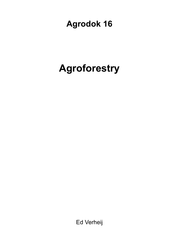## **Agrodok 16**

# **Agroforestry**

Ed Verheij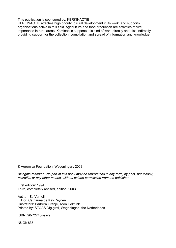This publication is sponsored by: KERKINACTIE.

KERKINACTIE attaches high priority to rural development in its work, and supports organisations active in this field. Agriculture and food production are activities of vital importance in rural areas. Kerkinactie supports this kind of work directly and also indirectly providing support for the collection, compilation and spread of information and knowledge.

© Agromisa Foundation, Wageningen, 2003.

*All rights reserved. No part of this book may be reproduced in any form, by print, photocopy, microfilm or any other means, without written permission from the publisher.* 

First edition: 1994 Third, completely revised, edition: 2003

Author: Ed Verheij Editor: Catharina de Kat-Reynen Illustrators: Barbera Oranje, Toon Helmink Printed by: STOAS Digigrafi, Wageningen, the Netherlands

ISBN: 90-72746--92-9

NUGI: 835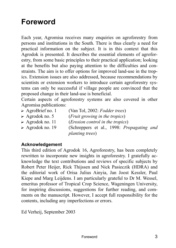## **Foreword**

Each year, Agromisa receives many enquiries on agroforestry from persons and institutions in the South. There is thus clearly a need for practical information on the subject. It is in this context that this Agrodok is presented. It describes the essential elements of agroforestry, from some basic principles to their practical application; looking at the benefits but also paying attention to the difficulties and constraints. The aim is to offer options for improved land-use in the tropics. Extension issues are also addressed, because recommendations by scientists or extension workers to introduce certain agroforestry systems can only be successful if village people are convinced that the proposed change in their land-use is beneficial.

Certain aspects of agroforestry systems are also covered in other Agromisa publications:<br> $\triangleright$  AgroBrief no. 1

- (Van Tol, 2002: *Fodder trees*)
- ? Agrodok no. 5 (*Fruit growing in the tropics*)
- ? Agrodok no. 11 (*Erosion control in the tropics*)
- ? Agrodok no. 19 (Schreppers et al., 1998: *Propagating and planting trees*)

#### **Acknowledgement**

This third edition of Agrodok 16, Agroforestry, has been completely rewritten to incorporate new insights in agroforestry. I gratefully acknowledge the text contributions and reviews of specific subjects by Robert Peter Heijer, Rick Thijssen and Nick Pasieczik (HDRA) and the editorial work of Orisa Julius Ainyia, Jan Joost Kessler, Paul Kiepe and Marg Leijdens. I am particularly grateful to Dr M. Wessel, emeritus professor of Tropical Crop Science, Wageningen University, for inspiring discussions, suggestions for further reading, and comments on the manuscript. However, I accept full responsibility for the contents, including any imperfections or errors.

Ed Verheij, September 2003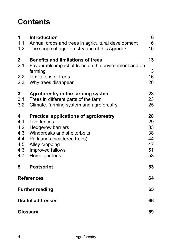## **Contents**

| 1<br>1.1<br>1.2 <sub>1</sub>                       | <b>Introduction</b><br>Annual crops and trees in agricultural development<br>The scope of agroforestry and of this Agrodok                                                                                   | 6<br>6<br>10                                 |
|----------------------------------------------------|--------------------------------------------------------------------------------------------------------------------------------------------------------------------------------------------------------------|----------------------------------------------|
| $\mathbf 2$<br>2.1<br>2.2<br>2.3                   | <b>Benefits and limitations of trees</b><br>Favourable impact of trees on the environment and on<br>farming<br>Limitations of trees<br>Why trees disappear                                                   | 13<br>13<br>16<br>20                         |
| 3<br>3.1<br>3.2                                    | Agroforestry in the farming system<br>Trees in different parts of the farm<br>Climate, farming system and agroforestry                                                                                       | 23<br>23<br>25                               |
| 4<br>4.1<br>4.2<br>4.3<br>4.4<br>4.5<br>4.6<br>4.7 | <b>Practical applications of agroforestry</b><br>Live fences<br><b>Hedgerow barriers</b><br>Windbreaks and shelterbelts<br>Parklands (scattered trees)<br>Alley cropping<br>Improved fallows<br>Home gardens | 28<br>29<br>33<br>38<br>44<br>47<br>51<br>58 |
| 5                                                  | <b>Postscript</b>                                                                                                                                                                                            | 63                                           |
| <b>References</b>                                  |                                                                                                                                                                                                              | 64                                           |
| <b>Further reading</b>                             |                                                                                                                                                                                                              | 65                                           |
| <b>Useful addresses</b>                            |                                                                                                                                                                                                              | 66                                           |
| Glossary                                           |                                                                                                                                                                                                              | 69                                           |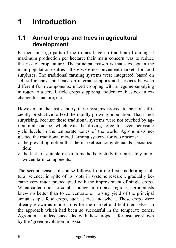## **1 Introduction**

### **1.1 Annual crops and trees in agricultural development**

Farmers in large parts of the tropics have no tradition of aiming at maximum production per hectare; their main concern was to reduce the risk of crop failure. The principal reason is that - except in the main population centres - there were no convenient markets for food surpluses. The traditional farming systems were integrated, based on self-sufficiency and hence on internal supplies and services between different farm components: mixed cropping with a legume supplying nitrogen to a cereal, field crops supplying fodder for livestock in exchange for manure, etc.

However, in the last century these systems proved to be not sufficiently productive to feed the rapidly growing population. That is not surprising, because these traditional systems were not touched by agricultural science, which was the driving force for ever-increasing yield levels in the temperate zones of the world. Agronomists neglected the traditional mixed farming systems for two reasons:

- $\triangleright$  the prevailing notion that the market economy demands specialization;
- $\triangleright$  the lack of suitable research methods to study the intricately interwoven farm components.

The second reason of course follows from the first; modern agricultural science, in spite of its roots in systems research, gradually became very much preoccupied with the improvement of single crops. When called upon to combat hunger in tropical regions, agronomists knew no better than to concentrate on raising yield of the principal annual staple food crops, such as rice and wheat. These crops were already grown as mono-crops for the market and lent themselves to the approach which had been so successful in the temperate zones. Agronomists indeed succeeded with these crops, as for instance shown by the 'green revolution' in Asia.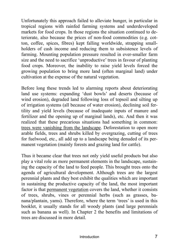Unfortunately this approach failed to alleviate hunger, in particular in tropical regions with rainfed farming systems and underdeveloped markets for food crops. In those regions the situation continued to deteriorate, also because the prices of non-food commodities (e.g. cotton, coffee, spices, fibres) kept falling worldwide, strapping smallholders of cash income and reducing them to subsistence levels of farming. Mounting population pressure resulted in ever-smaller farm size and the need to sacrifice 'unproductive' trees in favour of planting food crops. Moreover, the inability to raise yield levels forced the growing population to bring more land (often marginal land) under cultivation at the expense of the natural vegetation.

Before long these trends led to alarming reports about deteriorating land use systems: expanding 'dust bowls' and deserts (because of wind erosion), degraded land following loss of topsoil and silting up of irrigation systems (all because of water erosion), declining soil fertility and yield levels (because of inadequate inputs of manure and fertilizer and the opening up of marginal lands), etc. And then it was realized that these precarious situations had something in common: trees were vanishing from the landscape. Deforestation to open more arable fields, trees and shrubs killed by overgrazing, cutting of trees for fuelwood, etc., all add up to a landscape being denuded of its permanent vegetation (mainly forests and grazing land for cattle).

Thus it became clear that trees not only yield useful products but also play a vital role as more permanent elements in the landscape, sustaining the capacity of the land to feed people. This brought trees onto the agenda of agricultural development. Although trees are the largest perennial plants and they best exhibit the qualities which are important in sustaining the productive capacity of the land, the most important factor is that permanent vegetation covers the land, whether it consists of trees, shrubs, vines or perennial herbs (such as grasses, banana/plantain, yams). Therefore, where the term 'trees' is used in this booklet, it usually stands for all woody plants (and large perennials such as banana as well). In Chapter 2 the benefits and limitations of trees are discussed in more detail.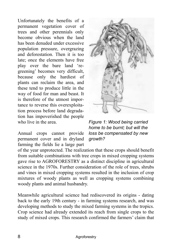Unfortunately the benefits of a permanent vegetation cover of trees and other perennials only become obvious when the land has been denuded under excessive population pressure, overgrazing and deforestation. Then it is too late; once the elements have free play over the bare land 'regreening' becomes very difficult, because only the hardiest of plants can reclaim the area, and these tend to produce little in the way of food for man and beast. It is therefore of the utmost importance to reverse this overexploitation process before land degradation has impoverished the people who live in the area.

Annual crops cannot provide permanent cover and in dryland farming the fields lie a large part



*Figure 1: Wood being carried home to be burnt; but will the loss be compensated by new growth?* 

of the year unprotected. The realization that these crops should benefit from suitable combinations with tree crops in mixed cropping systems gave rise to AGROFORESTRY as a distinct discipline in agricultural science in the 1970s. Further consideration of the role of trees, shrubs and vines in mixed cropping systems resulted in the inclusion of crop mixtures of woody plants as well as cropping systems combining woody plants and animal husbandry.

Meanwhile agricultural science had rediscovered its origins - dating back to the early 19th century - in farming systems research, and was developing methods to study the mixed farming systems in the tropics. Crop science had already extended its reach from single crops to the study of mixed crops. This research confirmed the farmers' claim that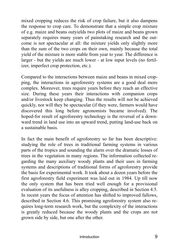mixed cropping reduces the risk of crop failure, but it also dampens the response to crop care. To demonstrate that a simple crop mixture of e.g. maize and beans outyields two plots of maize and beans grown separately requires many years of painstaking research and the outcome is not spectacular at all: the mixture yields only slightly more than the sum of the two crops on their own, mainly because the total yield of the mixture is more stable from year to year. The difference is larger - but the yields are much lower - at low input levels (no fertilizer, imperfect crop protection, etc.).

Compared to the interactions between maize and beans in mixed cropping, the interactions in agroforestry systems are a good deal more complex. Moreover, trees require years before they reach an effective size. During these years their interactions with companion crops and/or livestock keep changing. Thus the results will not be achieved quickly, nor will they be spectacular (if they were, farmers would have discovered this long before agronomists became involved). The hoped-for result of agroforestry technology is the reversal of a downward trend in land use into an upward trend, putting land-use back on a sustainable basis.

In fact the main benefit of agroforestry so far has been descriptive: studying the role of trees in traditional farming systems in various parts of the tropics and sounding the alarm over the dramatic losses of trees in the vegetation in many regions. The information collected regarding the many auxiliary woody plants and their uses in farming systems and descriptions of traditional forms of agroforestry provide the basis for experimental work. It took about a dozen years before the first agroforestry field experiment was laid out in 1984. Up till now the only system that has been tried well enough for a provisional evaluation of its usefulness is alley cropping, described in Section 4.5. In recent years the focus of attention has shifted to improved fallows, described in Section 4.6. This promising agroforestry system also requires long-term research work, but the complexity of the interactions is greatly reduced because the woody plants and the crops are not grown side by side, but one after the other.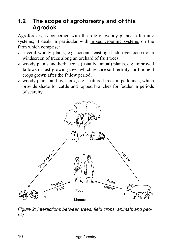### **1.2 The scope of agroforestry and of this Agrodok**

Agroforestry is concerned with the role of woody plants in farming systems; it deals in particular with mixed cropping systems on the farm which comprise:

- $\triangleright$  several woody plants, e.g. coconut casting shade over cocoa or a windscreen of trees along an orchard of fruit trees;
- $\triangleright$  woody plants and herbaceous (usually annual) plants, e.g. improved fallows of fast-growing trees which restore soil fertility for the field crops grown after the fallow period;
- $\triangleright$  woody plants and livestock, e.g. scattered trees in parklands, which provide shade for cattle and lopped branches for fodder in periods of scarcity.



*Figure 2: Interactions between trees, field crops, animals and people*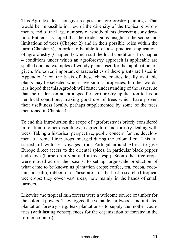This Agrodok does not give recipes for agroforestry plantings. That would be impossible in view of the diversity of the tropical environments, and of the large numbers of woody plants deserving consideration. Rather it is hoped that the reader gains insight in the scope and limitations of trees (Chapter 2) and in their possible roles within the farm (Chapter 3), in order to be able to choose practical applications of agroforestry (Chapter 4) which suit the local conditions. In Chapter 4 conditions under which an agroforestry approach is applicable are spelled out and examples of woody plants used for that application are given. Moreover, important characteristics of these plants are listed in Appendix 1; on the basis of these characteristics locally available plants may be selected which have similar properties. In other words: it is hoped that this Agrodok will foster understanding of the issues, so that the reader can adapt a specific agroforestry application to his or her local conditions, making good use of trees which have proven their usefulness locally, perhaps supplemented by some of the trees mentioned in Chapter 4.

To end this introduction the scope of agroforestry is briefly considered in relation to other disciplines in agriculture and forestry dealing with trees. Taking a historical perspective, public concern for the development of tropical tree crops emerged during the colonial era. This era started off with sea voyages from Portugal around Africa to give Europe direct access to the oriental spices, in particular black pepper and clove (borne on a vine and a tree resp.). Soon other tree crops were moved across the oceans, to set up large-scale production of what came to be known as plantation crops: coffee, tea, cocoa, coconut, oil palm, rubber, etc. These are still the best-researched tropical tree crops; they cover vast areas, now mainly in the hands of small farmers.

Likewise the tropical rain forests were a welcome source of timber for the colonial powers. They logged the valuable hardwoods and initiated plantation forestry - e.g. teak plantations - to supply the mother countries (with lasting consequences for the organization of forestry in the former colonies).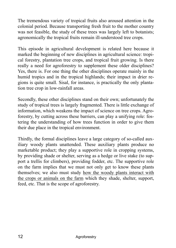The tremendous variety of tropical fruits also aroused attention in the colonial period. Because transporting fresh fruit to the mother country was not feasible, the study of these trees was largely left to botanists; agronomically the tropical fruits remain ill-understood tree crops.

This episode in agricultural development is related here because it marked the beginning of new disciplines in agricultural science: tropical forestry, plantation tree crops, and tropical fruit growing. Is there really a need for agroforestry to supplement these older disciplines? Yes, there is. For one thing the other disciplines operate mainly in the humid tropics and in the tropical highlands; their impact in drier regions is quite small. Sisal, for instance, is practically the only plantation tree crop in low-rainfall areas.

Secondly, these other disciplines stand on their own; unfortunately the study of tropical trees is largely fragmented. There is little exchange of information, which weakens the impact of science on tree crops. Agroforestry, by cutting across these barriers, can play a unifying role: fostering the understanding of how trees function in order to give them their due place in the tropical environment.

Thirdly, the formal disciplines leave a large category of so-called auxiliary woody plants unattended. These auxiliary plants produce no marketable product; they play a supportive role in cropping systems, by providing shade or shelter, serving as a hedge or live stake (to support a trellis for climbers), providing fodder, etc. The supportive role on the farm implies that we must not only get to know these plants themselves; we also must study how the woody plants interact with the crops or animals on the farm which they shade, shelter, support, feed, etc. That is the scope of agroforestry.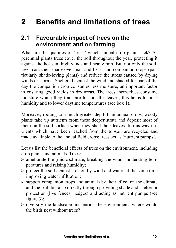## **2 Benefits and limitations of trees**

### **2.1 Favourable impact of trees on the environment and on farming**

What are the qualities of 'trees' which annual crop plants lack? As perennial plants trees cover the soil throughout the year, protecting it against the hot sun, high winds and heavy rain. But not only the soil: trees cast their shade over man and beast and companion crops (particularly shade-loving plants) and reduce the stress caused by drying winds or storms. Sheltered against the wind and shaded for part of the day the companion crop consumes less moisture, an important factor in ensuring good yields in dry areas. The trees themselves consume moisture which they transpire to cool the leaves; this helps to raise humidity and to lower daytime temperatures (see box 1).

Moreover, rooting to a much greater depth than annual crops, woody plants take up nutrients from these deeper strata and deposit most of them on the soil surface when they shed their leaves. In this way nutrients which have been leached from the topsoil are recycled and made available to the annual field crops: trees act as 'nutrient pumps'.

Let us list the beneficial effects of trees on the environment, including crop plants and animals. Trees:

- $\triangleright$  ameliorate the (micro)climate, breaking the wind, moderating temperatures and raising humidity;
- $\triangleright$  protect the soil against erosion by wind and water, at the same time improving water infiltration;
- $\triangleright$  support companion crops and animals by their effect on the climate and the soil, but also directly through providing shade and shelter or protection (live fences, hedges) and acting as nutrient pumps (see figure 3);
- $\triangleright$  diversify the landscape and enrich the environment: where would the birds nest without trees?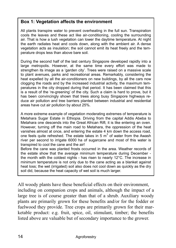#### **Box 1: Vegetation affects the environment**

All plants transpire water to prevent overheating in the full sun. Transpiration cools the leaves and these act like air-conditioning, cooling the surrounding air. That is how a lush vegetation can lower the daytime temperature. At night the earth radiates heat and cools down, along with the ambient air. A dense vegetation acts as insulation; the soil cannot emit its heat freely and the temperature drops less than above bare soil.

During the second half of the last century Singapore developed rapidly into a large metropolis. However, at the same time every effort was made to strengthen its image as a 'garden city'. Trees were raised on a massive scale to plant avenues, parks and recreational areas. Remarkably, considering the heat expelled by all the air-conditioners on new buildings, by all the cars now clogging the roads and by the increased industrial activity, the maximum temperatures in the city dropped during that period. It has been claimed that this is a result of the 're-greening' of the city. Such a claim is hard to prove, but it has been convincingly shown that trees along busy Singapore highways reduce air pollution and tree barriers planted between industrial and residential areas have cut air pollution by about 25%.

A more extreme example of vegetation moderating extremes of temperature is Metahara Sugar Estate in Ethiopia. Driving from the capital Addis Abeba to Metahara one descends into the Great African Rift; it is like entering an oven. However, turning off the main road to Metahara, the oppression of the heat vanishes almost at once, and entering the estate 4 km down the access road, one feels quite refreshed. The estate takes in 5  $m^3$  of water from the Awash river per second to irrigate 6000 ha of sugarcane and most of this water is transpired to cool the cane and the air!

Before the cane was planted frosts occurred in the area. Weather records of the estate show that the average minimum temperature during December the month with the coldest nights - has risen to nearly 12°C. The increase in minimum temperature is not only due to the cane acting as a blanket against heat loss; the wet (irrigated) soil also does not cool down as quickly as the dry soil did, because the heat capacity of wet soil is much larger.

All woody plants have these beneficial effects on their environment, including on companion crops and animals, although the impact of a large tree is of course greater than that of a shrub. Auxiliary woody plants are primarily grown for these benefits and/or for the fodder or fuelwood they provide. Tree crops are primarily grown for their marketable product: e.g. fruit, spice, oil, stimulant, timber; the benefits listed above are valuable but of secondary importance to the grower.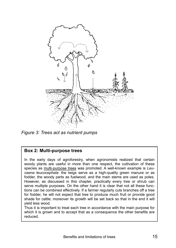

*Figure 3: Trees act as nutrient pumps* 

#### **Box 2: Multi-purpose trees**

In the early days of agroforestry, when agronomists realized that certain woody plants are useful in more than one respect, the cultivation of these species as multi-purpose trees was promoted. A well-known example is *Leucaena leucocephala*: the twigs serve as a high-quality green manure or as fodder, the woody parts as fuelwood, and the main stems are used as poles. However, as discussed in this chapter, practically every tree or shrub can serve multiple purposes. On the other hand it is clear that not all these functions can be combined effectively. If a farmer regularly cuts branches off a tree for fodder, he will not expect that tree to produce much fruit or provide good shade for cattle; moreover its growth will be set back so that in the end it will yield less wood.

Thus it is important to treat each tree in accordance with the main purpose for which it is grown and to accept that as a consequence the other benefits are reduced.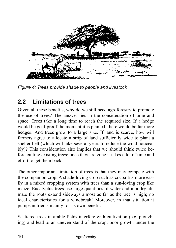

*Figure 4: Trees provide shade to people and livestock* 

### **2.2 Limitations of trees**

Given all these benefits, why do we still need agroforestry to promote the use of trees? The answer lies in the consideration of time and space. Trees take a long time to reach the required size. If a hedge would be goat-proof the moment it is planted, there would be far more hedges! And trees grow to a large size. If land is scarce, how will farmers agree to allocate a strip of land sufficiently wide to plant a shelter belt (which will take several years to reduce the wind noticeably)? This consideration also implies that we should think twice before cutting existing trees; once they are gone it takes a lot of time and effort to get them back.

The other important limitation of trees is that they may compete with the companion crop. A shade-loving crop such as cocoa fits more easily in a mixed cropping system with trees than a sun-loving crop like maize. Eucalyptus trees use large quantities of water and in a dry climate the roots extend sideways almost as far as the tree is high; no ideal characteristics for a windbreak! Moreover, in that situation it pumps nutrients mainly for its own benefit.

Scattered trees in arable fields interfere with cultivation (e.g. ploughing) and lead to an uneven stand of the crop: poor growth under the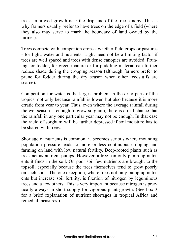trees, improved growth near the drip line of the tree canopy. This is why farmers usually prefer to have trees on the edge of a field (where they also may serve to mark the boundary of land owned by the farmer).

Trees compete with companion crops - whether field crops or pastures - for light, water and nutrients. Light need not be a limiting factor if trees are well spaced and trees with dense canopies are avoided. Pruning for fodder, for green manure or for puddling material can further reduce shade during the cropping season (although farmers prefer to prune for fodder during the dry season when other feedstuffs are scarce).

Competition for water is the largest problem in the drier parts of the tropics, not only because rainfall is lower, but also because it is more erratic from year to year. Thus, even where the average rainfall during the wet season is enough to grow sorghum, there is a real chance that the rainfall in any one particular year may not be enough. In that case the yield of sorghum will be further depressed if soil moisture has to be shared with trees.

Shortage of nutrients is common; it becomes serious where mounting population pressure leads to more or less continuous cropping and farming on land with low natural fertility. Deep-rooted plants such as trees act as nutrient pumps. However, a tree can only pump up nutrients it finds in the soil. On poor soil few nutrients are brought to the topsoil, especially because the trees themselves tend to grow poorly on such soils. The one exception, where trees not only pump up nutrients but increase soil fertility, is fixation of nitrogen by leguminous trees and a few others. This is very important because nitrogen is practically always in short supply for vigorous plant growth. (See box 3 for a brief explanation of nutrient shortages in tropical Africa and remedial measures.)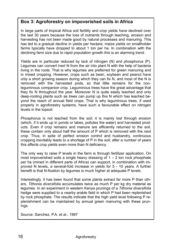#### **Box 3: Agroforestry on impoverished soils in Africa**

In large parts of tropical Africa soil fertility and crop yields have declined over the last 30 years because the loss of nutrients through leaching, erosion and harvesting has not been made good by natural processes and manuring. This has led to a gradual decline in yields per hectare; maize yields on smallholder farms typically have dropped to about 1 ton per ha. In combination with the declining farm size due to rapid population growth this is an alarming trend.

Yields are in particular reduced by lack of nitrogen (N) and phosphorus (P). Legumes can convert inert N from the air into plant N with the help of bacteria living in the roots. That is why legumes are preferred for green manuring and in mixed cropping. However, crops such as bean, soybean and peanut have only a short growing season during which they can fix N, and most of the N is removed with the harvested pods, so that little remains for the nonleguminous companion crop. Leguminous trees have the great advantage that they fix N throughout the year. Moreover N is quite easily leached and only deep-rooting plants such as trees can pump up this N which has leached beyond the reach of annual field crops. That is why leguminous trees, if used properly in agroforestry systems, have such a favourable effect on nitrogen levels in the topsoil.

Phosphorus is not leached from the soil; it is mainly lost through erosion (which, if it ends up in ponds or lakes, pollutes the water) and harvested products. Even if crop remains and manure are efficiently returned to the soil, these contain only about half the amount of P which is removed with the next crop. Thus, in spite of perfect erosion control and husbandry, continuous cropping inevitably leads to a shortage of P in the soil; after a number of years this affects crop yields even more than N deficiency.

The only way to raise P levels in the farm is through fertilizer application. On most impoverished soils a single heavy dressing of  $1 - 2$  ton rock phosphate per ha (mined in different parts of Africa) can support, in combination with improved N levels, a several-fold increase in yields for 5 - 10 years. A further benefit is that N-fixation by legumes is much higher at adequate P levels.

Interestingly, it has been found that some plants extract far more P than others. *Tithonia diversifolia* accumulates twice as much P per kg dry material as legumes. In an experiment in western Kenya prunings of a *Tithonia diversifolia* hedge were supplied to a nearby arable field in which P had been replenished by rock phosphate. The results indicate that the high yield level following P replenishment can be maintained by annual green manuring with these prunings.

Source: Sanchez, P.A. et al., 1997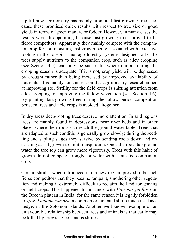Up till now agroforestry has mainly promoted fast-growing trees, because these promised quick results with respect to tree size or good yields in terms of green manure or fodder. However, in many cases the results were disappointing because fast-growing trees proved to be fierce competitors. Apparently they mainly compete with the companion crop for soil moisture, fast growth being associated with extensive rooting in the topsoil. Thus agroforestry systems designed to let the trees supply nutrients to the companion crop, such as alley cropping (see Section 4.5), can only be successful where rainfall during the cropping season is adequate. If it is not, crop yield will be depressed by drought rather than being increased by improved availability of nutrients! It is mainly for this reason that agroforestry research aimed at improving soil fertility for the field crops is shifting attention from alley cropping to improving the fallow vegetation (see Section 4.6). By planting fast-growing trees during the fallow period competition between trees and field crops is avoided altogether.

In dry areas deep-rooting trees deserve more attention. In arid regions trees are mainly found in depressions, near river beds and in other places where their roots can reach the ground water table. Trees that are adapted to such conditions generally grow slowly; during the seedling and sapling stages they survive by sending roots down and restricting aerial growth to limit transpiration. Once the roots tap ground water the tree top can grow more vigorously. Trees with this habit of growth do not compete strongly for water with a rain-fed companion crop.

Certain shrubs, when introduced into a new region, proved to be such fierce competitors that they became rampant, smothering other vegetation and making it extremely difficult to reclaim the land for grazing or field crops. This happened for instance with *Prosopis juliflora* on the Deccan plateau in India; for the same reason it is legally forbidden to grow *Lantana camara*, a common ornamental shrub much used as a hedge, in the Solomon Islands. Another well-known example of an unfavourable relationship between trees and animals is that cattle may be killed by browsing poisonous shrubs.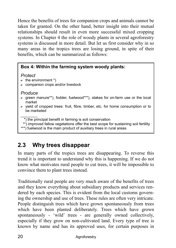Hence the benefits of trees for companion crops and animals cannot be taken for granted. On the other hand, better insight into their mutual relationships should result in even more successful mixed cropping systems. In Chapter 4 the role of woody plants in several agroforestry systems is discussed in more detail. But let us first consider why in so many areas in the tropics trees are losing ground, in spite of their benefits, which can be summarized as follows:

#### **Box 4: Within the farming system woody plants:**

#### *Protect*

- $\blacktriangleright$  the environment \*)
- $\triangleright$  companion crops and/or livestock

#### *Produce*

- $\triangleright$  green manure\*\*), fodder, fuelwood\*\*\*), stakes for on-farm use or the local market
- $\triangleright$  yield of cropped trees: fruit, fibre, timber, etc. for home consumption or to be marketed
- $\frac{1}{2}$ \*) the principal benefit in farming is soil conservation
- \*\*) improved fallow vegetations offer the best scope for sustaining soil fertility
- \*\*\*) fuelwood is the main product of auxiliary trees in rural areas

## **2.3 Why trees disappear**

In many parts of the tropics trees are disappearing. To reverse this trend it is important to understand why this is happening. If we do not know what motivates rural people to cut trees, it will be impossible to convince them to plant trees instead.

Traditionally rural people are very much aware of the benefits of trees and they know everything about subsidiary products and services rendered by each species. This is evident from the local customs governing the ownership and use of trees. These rules are often very intricate. People distinguish trees which have grown spontaneously from trees which have been planted deliberately. Trees which have grown spontaneously - 'wild' trees - are generally owned collectively, especially if they grow on non-cultivated land. Every type of tree is known by name and has its approved uses, for certain purposes in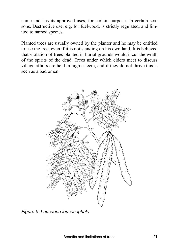name and has its approved uses, for certain purposes in certain seasons. Destructive use, e.g. for fuelwood, is strictly regulated, and limited to named species.

Planted trees are usually owned by the planter and he may be entitled to use the tree, even if it is not standing on his own land. It is believed that violation of trees planted in burial grounds would incur the wrath of the spirits of the dead. Trees under which elders meet to discuss village affairs are held in high esteem, and if they do not thrive this is seen as a bad omen.



*Figure 5: Leucaena leucocephala*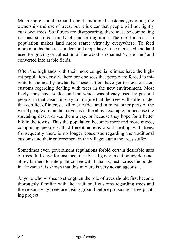Much more could be said about traditional customs governing the ownership and use of trees, but it is clear that people will not lightly cut down trees. So if trees are disappearing, there must be compelling reasons, such as scarcity of land or migration. The rapid increase in population makes land more scarce virtually everywhere. To feed more mouths the areas under food crops have to be increased and land used for grazing or collection of fuelwood is renamed 'waste land' and converted into arable fields.

Often the highlands with their more congenial climate have the highest population density, therefore one sees that people are forced to migrate to the nearby lowlands. These settlers have yet to develop their customs regarding dealing with trees in the new environment. Most likely, they have settled on land which was already used by pastoral people; in that case it is easy to imagine that the trees will suffer under this conflict of interest. All over Africa and in many other parts of the world people are on the move, as in the above example, or because the spreading desert drives them away, or because they hope for a better life in the towns. Thus the population becomes more and more mixed, comprising people with different notions about dealing with trees. Consequently there is no longer consensus regarding the traditional customs and their enforcement in the village; again the trees suffer.

Sometimes even government regulations forbid certain desirable uses of trees. In Kenya for instance, ill-advised government policy does not allow farmers to interplant coffee with bananas; just across the border in Tanzania it is shown that this mixture is very advantageous....

Anyone who wishes to strengthen the role of trees should first become thoroughly familiar with the traditional customs regarding trees and the reasons why trees are losing ground before proposing a tree planting project.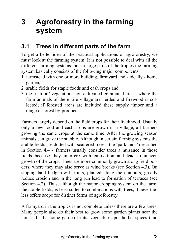## **3 Agroforestry in the farming system**

### **3.1 Trees in different parts of the farm**

To get a better idea of the practical applications of agroforestry, we must look at the farming system. It is not possible to deal with all the different farming systems, but in large parts of the tropics the farming system basically consists of the following major components:

- 1 farmstead with one or more building, farmyard and ideally home garden,
- 2 arable fields for staple foods and cash crops and
- 3 the 'natural' vegetation: non-cultivated communal areas, where the farm animals of the entire village are herded and firewood is collected; if forested areas are included these supply timber and a range of forest by-products.

Farmers largely depend on the field crops for their livelihood. Usually only a few food and cash crops are grown in a village, all farmers growing the same crops at the same time. After the growing season animals can graze the stubble. Although in certain farming systems the arable fields are dotted with scattered trees - the 'parklands' described in Section 4.4 - farmers usually consider trees a nuisance in those fields because they interfere with cultivation and lead to uneven growth of the crops. Trees are more commonly grown along field borders, where they may also serve as wind breaks (see Section 4.3). On sloping land hedgerow barriers, planted along the contours, greatly reduce erosion and in the long run lead to formation of terraces (see Section 4.2). Thus, although the major cropping system on the farm, the arable fields, is least suited to combinations with trees, it nevertheless offers scope for distinct forms of agroforestry.

A farmyard in the tropics is not complete unless there are a few trees. Many people also do their best to grow some garden plants near the house. In the home garden fruits, vegetables, pot herbs, spices (and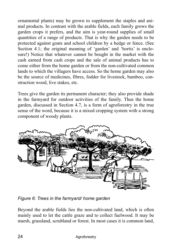ornamental plants) may be grown to supplement the staples and animal products. In contrast with the arable fields, each family grows the garden crops it prefers, and the aim is year-round supplies of small quantities of a range of products. That is why the garden needs to be protected against goats and school children by a hedge or fence. (See Section 4.1; the original meaning of 'garden' and 'hortis' is enclosure!) Notice that whatever cannot be bought in the market with the cash earned from cash crops and the sale of animal products has to come either from the home garden or from the non-cultivated common lands to which the villagers have access. So the home garden may also be the source of medicines, fibres, fodder for livestock, bamboo, construction wood, live stakes, etc.

Trees give the garden its permanent character; they also provide shade in the farmyard for outdoor activities of the family. Thus the home garden, discussed in Section 4.7, is a form of agroforestry in the true sense of the word, because it is a mixed cropping system with a strong component of woody plants.



*Figure 6: Trees in the farmyard/ home garden* 

Beyond the arable fields lies the non-cultivated land, which is often mainly used to let the cattle graze and to collect fuelwood. It may be marsh, grassland, scrubland or forest. In most cases it is common land,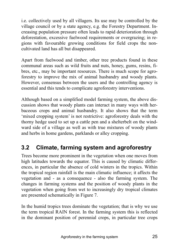i.e. collectively used by all villagers. Its use may be controlled by the village council or by a state agency, e.g. the Forestry Department. Increasing population pressure often leads to rapid deterioration through deforestation, excessive fuelwood requirements or overgrazing; in regions with favourable growing conditions for field crops the noncultivated land has all but disappeared.

Apart from fuelwood and timber, other tree products found in these communal areas such as wild fruits and nuts, honey, gums, resins, fibres, etc., may be important resources. There is much scope for agroforestry to improve the mix of animal husbandry and woody plants. However, consensus between the users and the controlling agency is essential and this tends to complicate agroforestry interventions.

Although based on a simplified model farming system, the above discussion shows that woody plants can interact in many ways with herbaceous crops and animal husbandry. It also shows that the term 'mixed cropping system' is not restrictive: agroforestry deals with the thorny hedge used to set up a cattle pen and a shelterbelt on the windward side of a village as well as with true mixtures of woody plants and herbs in home gardens, parklands or alley cropping.

### **3.2 Climate, farming system and agroforestry**

Trees become more prominent in the vegetation when one moves from high latitudes towards the equator. This is caused by climatic differences, in particular the absence of cold winters in the tropics. Within the tropical region rainfall is the main climatic influence; it affects the vegetation and - as a consequence - also the farming system. The changes in farming systems and the position of woody plants in the vegetation when going from wet to increasingly dry tropical climates are presented schematically in Figure 7.

In the humid tropics trees dominate the vegetation; that is why we use the term tropical RAIN forest. In the farming system this is reflected in the dominant position of perennial crops, in particular tree crops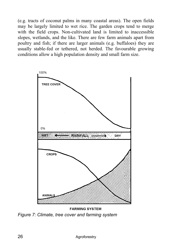(e.g. tracts of coconut palms in many coastal areas). The open fields may be largely limited to wet rice. The garden crops tend to merge with the field crops. Non-cultivated land is limited to inaccessible slopes, wetlands, and the like. There are few farm animals apart from poultry and fish; if there are larger animals (e.g. buffaloes) they are usually stable-fed or tethered, not herded. The favourable growing conditions allow a high population density and small farm size.



*Figure 7: Climate, tree cover and farming system*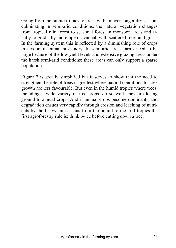Going from the humid tropics to areas with an ever longer dry season, culminating in semi-arid conditions, the natural vegetation changes from tropical rain forest to seasonal forest in monsoon areas and finally to gradually more open savannah with scattered trees and grass. In the farming system this is reflected by a diminishing role of crops in favour of animal husbandry. In semi-arid areas farms need to be large because of the low yield levels and extensive grazing areas under the harsh semi-arid conditions; these areas can only support a sparse population.

Figure 7 is greatly simplified but it serves to show that the need to strengthen the role of trees is greatest where natural conditions for tree growth are less favourable. But even in the humid tropics where trees, including a wide variety of tree crops, do so well, they are losing ground to annual crops. And if annual crops become dominant, land degradation ensues very rapidly through erosion and leaching of nutrients by the heavy rains. Thus from the humid to the arid tropics the first agroforestry rule is: think twice before cutting down a tree.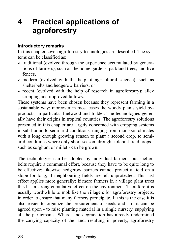## **4 Practical applications of agroforestry**

#### **Introductory remarks**

In this chapter seven agroforestry technologies are described. The systems can be classified as:

- $\triangleright$  traditional (evolved through the experience accumulated by generations of farmers), such as the home gardens, parkland trees, and live fences,
- $\triangleright$  modern (evolved with the help of agricultural science), such as shelterbelts and hedgerow barriers, or
- $\triangleright$  recent (evolved with the help of research in agroforestry): alley cropping and improved fallows.

These systems have been chosen because they represent farming in a sustainable way; moreover in most cases the woody plants yield byproducts, in particular fuelwood and fodder. The technologies generally have their origins in tropical countries. The agroforestry solutions presented in this chapter are largely concerned with cropping systems in sub-humid to semi-arid conditions, ranging from monsoon climates with a long enough growing season to plant a second crop, to semiarid conditions where only short-season, drought-tolerant field crops such as sorghum or millet - can be grown.

The technologies can be adopted by individual farmers, but shelterbelts require a communal effort, because they have to be quite long to be effective; likewise hedgerow barriers cannot protect a field on a slope for long, if neighbouring fields are left unprotected. This last effect applies more generally: if more farmers in a village plant trees this has a strong cumulative effect on the environment. Therefore it is usually worthwhile to mobilize the villagers for agroforestry projects, in order to ensure that many farmers participate. If this is the case it is also easier to organize the procurement of seeds and - if it can be agreed upon - to raise planting material in a single nursery, supplying all the participants. Where land degradation has already undermined the carrying capacity of the land, resulting in poverty, agroforestry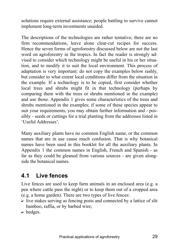solutions require external assistance; people battling to survive cannot implement long-term investments unaided.

The descriptions of the technologies are rather tentative; there are no firm recommendations, leave alone clear-cut recipes for success. Hence the seven forms of agroforestry discussed below are not the last word on agroforestry in the tropics. In fact the reader is strongly advised to consider which technology might be useful in his or her situation, and to modify it to suit the local environment. This process of adaptation is very important: do not copy the examples below rashly, but consider to what extent local conditions differ from the situation in the example. If a technology is to be copied, first consider whether local trees and shrubs might fit in that technology (perhaps by comparing them with the trees or shrubs mentioned in the example) and use those. Appendix 1 gives some characteristics of the trees and shrubs mentioned in the examples; if some of these species appear to suit your requirements, you may obtain further information and - possibly - seeds or cuttings for a trial planting from the addresses listed in 'Useful Addresses'

Many auxiliary plants have no common English name, or the common names that are in use cause much confusion. That is why botanical names have been used in this booklet for all the auxiliary plants. In Appendix 1 the common names in English, French and Spanish - as far as they could be gleaned from various sources - are given alongside the botanical names.

### **4.1 Live fences**

Live fences are used to keep farm animals in an enclosed area (e.g. a pen where cattle pass the night) or to keep them out of a cropped area (e.g. a home garden). There are two types of live fences:

- $\triangleright$  live stakes serving as fencing posts and connected by a lattice of slit bamboo, raffia, or by barbed wire;
- $\triangleright$  hedges.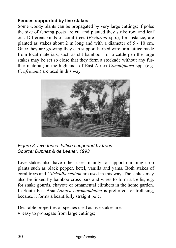#### **Fences supported by live stakes**

Some woody plants can be propagated by very large cuttings; if poles the size of fencing posts are cut and planted they strike root and leaf out. Different kinds of coral trees (*Erythrina* spp.), for instance, are planted as stakes about 2 m long and with a diameter of 5 - 10 cm. Once they are growing they can support barbed wire or a lattice made from local materials, such as slit bamboo. For a cattle pen the large stakes may be set so close that they form a stockade without any further material; in the highlands of East Africa *Commiphora* spp. (e.g. *C. africana*) are used in this way.



*Figure 8: Live fence: lattice supported by trees Source: Dupriez & de Leener, 1993* 

Live stakes also have other uses, mainly to support climbing crop plants such as black pepper, betel, vanilla and yams. Both stakes of coral trees and *Gliricidia sepium* are used in this way. The stakes may also be linked by bamboo cross bars and wires to form a trellis, e.g. for snake gourds, chayote or ornamental climbers in the home garden. In South East Asia *Lannea coromandelica* is preferred for trellising, because it forms a beautifully straight pole.

Desirable properties of species used as live stakes are:  $\triangleright$  easy to propagate from large cuttings;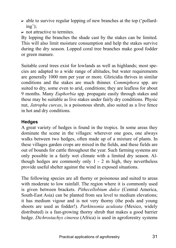- $\triangleright$  able to survive regular lopping of new branches at the top ('pollard $ing$ ;
- $\triangleright$  not attractive to termites.

By lopping the branches the shade cast by the stakes can be limited. This will also limit moisture consumption and help the stakes survive during the dry season. Lopped coral tree branches make good fodder or green manure.

Suitable coral trees exist for lowlands as well as highlands; most species are adapted to a wide range of altitudes, but water requirements are generally 1000 mm per year or more. Gliricidia thrives in similar conditions and the stakes are much thinner. *Commiphora* spp. are suited to dry, some even to arid, conditions; they are leafless for about 9 months. Many *Euphorbia* spp. propagate easily through stakes and these may be suitable as live stakes under fairly dry conditions. Physic nut, *Jatropha curcas*, is a poisonous shrub, also suited as a live fence in hot and dry conditions.

#### **Hedges**

A great variety of hedges is found in the tropics. In some areas they dominate the scene in the villages: wherever one goes, one always walks between two hedges, often made up of a mixture of plants. In these villages garden crops are mixed in the fields, and these fields are out of bounds for cattle throughout the year. Such farming systems are only possible in a fairly wet climate with a limited dry season. Although hedges are commonly only 1 - 2 m high, they nevertheless provide useful shelter against the wind in exposed situations.

The following species are all thorny or poisonous and suited to areas with moderate to low rainfall. The region where it is commonly used is given between brackets. *Pithecellobium dulce* (Central America, South-East Asia) can be planted from sea level to medium elevations; it has medium vigour and is not very thorny (the pods and young shoots are used as fodder!). *Parkinsonia aculeata* (Mexico, widely distributed) is a fast-growing thorny shrub that makes a good barrier hedge. *Dichrostachys cinerea* (Africa) is used in agroforestry systems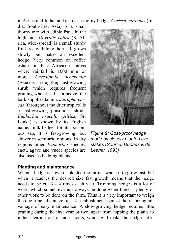in Africa and India, and also as a thorny hedge. *Carissa carandas* (In-

dia, South-East Asia) is a small thorny tree with edible fruit. In the highlands *Dovyalis caffra* (S. Africa, wide-spread) is a small sturdy fruit tree with long thorns. It grows slowly but makes an excellent hedge (very common on coffee estates in East Africa) in areas where rainfall is 1000 mm or more. *Caesalpinia decapetala* (Asia) is a straggling fast-growing shrub which requires frequent pruning when used as a hedge; the bark supplies tannin. *Jatropha curcas* (throughout the drier tropics) is a fast-growing poisonous shrub. *Euphorbia tirucalli* (Africa, Sri Lanka) is known by its English name, milk-hedge, for its poisonous sap; it is fast-growing, but slower in semi-arid regions. In dry regions other *Euphorbia* species, cacti, agave and yucca species are also used as hedging plants.



*Figure 9: Goat-proof hedge made by closely planted live stakes (Source: Dupriez & de Leener, 1993)* 

#### **Planting and maintenance**

When a hedge is sown or planted the farmer wants it to grow fast, but when it reaches the desired size fast growth means that the hedge needs to be cut 3 - 4 times each year. Trimming hedges is a lot of work, which somehow must always be done when there is plenty of other work to be done on the farm. Thus it is very important to weigh the one-time advantage of fast establishment against the recurring advantage of easy maintenance! A slow-growing hedge requires little pruning during the first year or two, apart from topping the plants to induce leafing out of side shoots, which will make the hedge suffi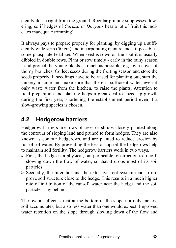ciently dense right from the ground. Regular pruning suppresses flowering; so if hedges of *Carissa* or *Dovyalis* bear a lot of fruit this indicates inadequate trimming!

It always pays to prepare properly for planting, by digging up a sufficiently wide strip (50 cm) and incorporating manure and - if possible some phosphate fertilizer. When seed is sown on the spot it is usually dibbled in double rows. Plant or sow timely - early in the rainy season - and protect the young plants as much as possible, e.g. by a cover of thorny branches. Collect seeds during the fruiting season and store the seeds properly. If seedlings have to be raised for planting out, start the nursery in time and make sure that there is sufficient water, even if only waste water from the kitchen, to raise the plants. Attention to field preparation and planting helps a great deal to speed up growth during the first year, shortening the establishment period even if a slow-growing species is chosen.

## **4.2 Hedgerow barriers**

Hedgerow barriers are rows of trees or shrubs closely planted along the contours of sloping land and pruned to form hedges. They are also known as contour hedgerows, and are planted to reduce erosion by run-off of water. By preventing the loss of topsoil the hedgerows help to maintain soil fertility. The hedgerow barriers work in two ways.

- $\triangleright$  First, the hedge is a physical, but permeable, obstruction to runoff, slowing down the flow of water, so that it drops most of its soil particles.
- $\triangleright$  Secondly, the litter fall and the extensive root system tend to improve soil structure close to the hedge. This results in a much higher rate of infiltration of the run-off water near the hedge and the soil particles stay behind.

The overall effect is that at the bottom of the slope not only far less soil accumulates, but also less water than one would expect. Improved water retention on the slope through slowing down of the flow and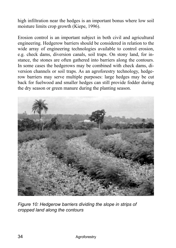high infiltration near the hedges is an important bonus where low soil moisture limits crop growth (Kiepe, 1996).

Erosion control is an important subject in both civil and agricultural engineering. Hedgerow barriers should be considered in relation to the wide array of engineering technologies available to control erosion, e.g. check dams, diversion canals, soil traps. On stony land, for instance, the stones are often gathered into barriers along the contours. In some cases the hedgerows may be combined with check dams, diversion channels or soil traps. As an agroforestry technology, hedgerow barriers may serve multiple purposes: large hedges may be cut back for fuelwood and smaller hedges can still provide fodder during the dry season or green manure during the planting season.



*Figure 10: Hedgerow barriers dividing the slope in strips of cropped land along the contours*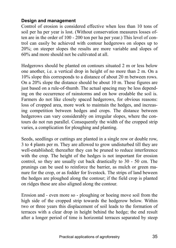#### **Design and management**

Control of erosion is considered effective when less than 10 tons of soil per ha per year is lost. (Without conservation measures losses often are in the order of 100 - 200 ton per ha per year.) This level of control can easily be achieved with contour hedgerows on slopes up to 20%; on steeper slopes the results are more variable and slopes of 60% and more should not be cultivated at all.

Hedgerows should be planted on contours situated 2 m or less below one another, i.e. a vertical drop in height of no more than 2 m. On a 10% slope this corresponds to a distance of about 20 m between rows. On a 20% slope the distance should be about 10 m. These figures are just based on a rule-of-thumb. The actual spacing may be less depending on the occurrence of rainstorms and on how erodable the soil is. Farmers do not like closely spaced hedgerows, for obvious reasons: loss of cropped area, more work to maintain the hedges, and increasing competition between hedges and crops. The distance between hedgerows can vary considerably on irregular slopes, where the contours do not run parallel. Consequently the width of the cropped strip varies, a complication for ploughing and planting.

Seeds, seedlings or cuttings are planted in a single row or double row, 3 to 4 plants per m. They are allowed to grow undisturbed till they are well-established; thereafter they can be pruned to reduce interference with the crop. The height of the hedges is not important for erosion control, so they are usually cut back drastically to 30 - 50 cm. The prunings can be used to reinforce the barrier, as mulch or green manure for the crop, or as fodder for livestock. The strips of land beween the hedges are ploughed along the contour; if the field crop is planted on ridges these are also aligned along the contour.

Erosion and - even more so - ploughing or hoeing move soil from the high side of the cropped strip towards the hedgerow below. Within two or three years this displacement of soil leads to the formation of terraces with a clear drop in height behind the hedge; the end result after a longer period of time is horizontal terraces separated by steep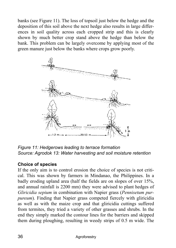banks (see Figure 11). The loss of topsoil just below the hedge and the deposition of this soil above the next hedge also results in large differences in soil quality across each cropped strip and this is clearly shown by much better crop stand above the hedge than below the bank. This problem can be largely overcome by applying most of the green manure just below the banks where crops grow poorly.



*Figure 11: Hedgerows leading to terrace formation Source: Agrodok 13: Water harvesting and soil moisture retention* 

#### **Choice of species**

If the only aim is to control erosion the choice of species is not critical. This was shown by farmers in Mindanao, the Philippines. In a badly eroding upland area (half the fields are on slopes of over 15%, and annual rainfall is 2200 mm) they were advised to plant hedges of *Gliricidia sepium* in combination with Napier grass (*Pennisetum purpureum*). Finding that Napier grass competed fiercely with gliricidia as well as with the maize crop and that gliricidia cuttings suffered from termites, they tried a variety of other grasses and shrubs. In the end they simply marked the contour lines for the barriers and skipped them during ploughing, resulting in weedy strips of 0.5 m wide. The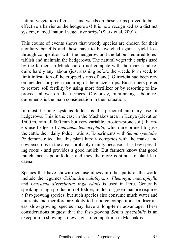natural vegetation of grasses and weeds on these strips proved to be as effective a barrier as the hedgerows! It is now recognized as a distinct system, named 'natural vegetative strips' (Stark et al, 2001).

This course of events shows that woody species are chosen for their auxiliary benefits and these have to be weighed against yield loss through competition with the hedgerow and the labour required to establish and maintain the hedgerows. The natural vegetative strips used by the farmers in Mindanao do not compete with the maize and require hardly any labour (just slashing before the weeds form seed, to limit infestation of the cropped strips of land). Gliricidia had been recommended for green manuring of the maize strips. But farmers prefer to restore soil fertility by using more fertilizer or by resorting to improved fallows on the terraces. Obviously, minimizing labour requirements is the main consideration in their situation.

In most farming systems fodder is the principal auxiliary use of hedgerows. This is the case in the Machakos area in Kenya (elevation 1600 m, rainfall 800 mm but very variable, erosion-prone soil). Farmers use hedges of *Leucaena leucocephala,* which are pruned to give the cattle their daily fodder rations. Experiments with *Senna spectabilis* demonstrated that this plant hardly competes with the maize and cowpea crops in the area - probably mainly because it has few spreading roots - and provides a good mulch. But farmers know that good mulch means poor fodder and they therefore continue to plant leucaena.

Species that have shown their usefulness in other parts of the world include the legumes *Calliandra calothyrsus, Flemingia macrophylla* and *Leucaena diversifolia*; *Inga edulis* is used in Peru. Generally speaking a high production of fodder, mulch or green manure requires a fast-growing species, but such species also consume much water and nutrients and therefore are likely to be fierce competitors. In drier areas slow-growing species may have a long-term advantage. These considerations suggest that the fast-growing *Senna spectabilis* is an exception in showing so few signs of competition in Machakos.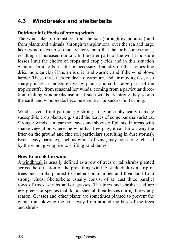## **4.3 Windbreaks and shelterbelts**

#### **Detrimental effects of strong winds**

The wind takes up moisture from the soil (through evaporation) and from plants and animals (through transpiration); over the sea and large lakes wind takes up so much water vapour that the air becomes moist, resulting in increased rainfall. In the drier parts of the world moisture losses limit the choice of crops and crop yields and in this situation windbreaks may be useful or necessary. Laundry on the clothes line dries more quickly if the air is drier and warmer, and if the wind blows harder. These three factors: dry air, warm air, and air moving fast, also sharply increase moisture loss by plants and soil. Large parts of the tropics suffer from seasonal hot winds, coming from a particular direction, making windbreaks useful. If such winds are strong they scorch the earth and windbreaks become essential for successful farming.

Wind - even if not particularly strong - may also physically damage susceptible crop plants, e.g. shred the leaves of some banana varieties. Stronger winds can tear the leaves and shoots off plants. In areas with sparse vegetation where the wind has free play, it can blow away the litter on the ground and fine soil particulars (resulting in dust storms). Even heavy particles, such as grains of sand, may hop along, chased by the wind, giving rise to shifting sand dunes.

### **How to break the wind**

A windbreak is usually defined as a row of trees or tall shrubs planted across the direction of the prevailing wind. A shelterbelt is a strip of trees and shrubs planted to shelter communities and their land from strong winds. Shelterbelts usually consist of at least three parallel rows of trees, shrubs and/or grasses. The trees and shrubs used are evergreens or species that do not shed all their leaves during the windy season. Grasses and other plants are sometimes planted to prevent the wind from blowing the soil away from around the base of the trees and shrubs.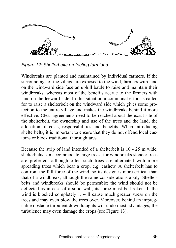

*Figure 12: Shelterbelts protecting farmland* 

Windbreaks are planted and maintained by individual farmers. If the surroundings of the village are exposed to the wind, farmers with land on the windward side face an uphill battle to raise and maintain their windbreaks, whereas most of the benefits accrue to the farmers with land on the leeward side. In this situation a communal effort is called for to raise a shelterbelt on the windward side which gives some protection to the entire village and makes the windbreaks behind it more effective. Clear agreements need to be reached about the exact site of the shelterbelt, the ownership and use of the trees and the land, the allocation of costs, responsibilities and benefits. When introducing shelterbelts, it is important to ensure that they do not offend local customs or block traditional thoroughfares.

Because the strip of land intended of a shelterbelt is 10 - 25 m wide, shelterbelts can accommodate large trees; for windbreaks slender trees are preferred, although often such trees are alternated with more spreading trees which bear a crop, e.g. cashew. A shelterbelt has to confront the full force of the wind, so its design is more critical than that of a windbreak, although the same considerations apply. Shelterbelts and windbreaks should be permeable; the wind should not be deflected as in case of a solid wall, its force must be broken. If the wind is blocked completely it will cause much greater stress on the trees and may even blow the trees over. Moreover, behind an impregnable obstacle turbulent downdraughts will undo most advantages; the turbulence may even damage the crops (see Figure 13).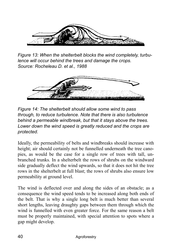

*Figure 13: When the shelterbelt blocks the wind completely, turbulence will occur behind the trees and damage the crops. Source: Rocheleau D. et al., 1988* 



*Figure 14: The shelterbelt should allow some wind to pass through, to reduce turbulence. Note that there is also turbulence behind a permeable windbreak, but that it stays above the trees. Lower down the wind speed is greatly reduced and the crops are protected.* 

Ideally, the permeability of belts and windbreaks should increase with height; air should certainly not be funnelled underneath the tree canopies, as would be the case for a single row of trees with tall, unbranched trunks. In a shelterbelt the rows of shrubs on the windward side gradually deflect the wind upwards, so that it does not hit the tree rows in the shelterbelt at full blast; the rows of shrubs also ensure low permeability at ground level.

The wind is deflected over and along the sides of an obstacle; as a consequence the wind speed tends to be increased along both ends of the belt. That is why a single long belt is much better than several short lengths, leaving draughty gaps between them through which the wind is funnelled with even greater force. For the same reason a belt must be properly maintained, with special attention to spots where a gap might develop.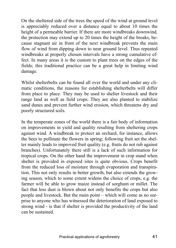On the sheltered side of the trees the speed of the wind at ground level is appreciably reduced over a distance equal to about 10 times the height of a permeable barrier. If there are more windbreaks downwind, the protection may extend up to 20 times the height of the breaks, because stagnant air in front of the next windbreak prevents the main flow of wind from dipping down to near ground level. Thus repeated windbreaks at properly chosen intervals have a strong cumulative effect. In many areas it is the custom to plant trees on the edges of the fields; this traditional practice can be a great help in limiting wind damage.

Whilst shelterbelts can be found all over the world and under any climatic conditions, the reasons for establishing shelterbelts will differ from place to place. They may be used to shelter livestock and their range land as well as field crops. They are also planted to stabilize sand dunes and prevent further wind erosion, which threatens dry and poorly structured soils.

In the temperate zones of the world there is a fair body of information on improvements in yield and quality resulting from sheltering crops against wind. A windbreak to protect an orchard, for instance, allows the bees to pollinate the flowers in spring; following fruit set the shelter mainly leads to improved fruit quality (e.g. fruits do not rub against branches). Unfortunately there still is a lack of such information for tropical crops. On the other hand the improvement in crop stand when shelter is provided in exposed sites is quite obvious. Crops benefit from the reduced loss of moisture through evaporation and transpiration. This not only results in better growth, but also extends the growing season, which to some extent widens the choice of crops, e.g. the farmer will be able to grow maize instead of sorghum or millet. The fact that less dust is blown about not only benefits the crops but also people and livestock. But the main point  $-$  which will come as no surprise to anyone who has witnessed the deterioration of land exposed to strong wind - is that if shelter is provided the productivity of the land can be sustained.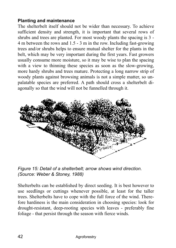#### **Planting and maintenance**

The shelterbelt itself should not be wider than necessary. To achieve sufficient density and strength, it is important that several rows of shrubs and trees are planted. For most woody plants the spacing is 3 - 4 m between the rows and 1.5 - 3 m in the row. Including fast-growing trees and/or shrubs helps to ensure mutual shelter for the plants in the belt, which may be very important during the first years. Fast growers usually consume more moisture, so it may be wise to plan the spacing with a view to thinning these species as soon as the slow-growing, more hardy shrubs and trees mature. Protecting a long narrow strip of woody plants against browsing animals is not a simple matter, so unpalatable species are preferred. A path should cross a shelterbelt diagonally so that the wind will not be funnelled through it.



*Figure 15: Detail of a shelterbelt; arrow shows wind direction. (Source: Weber & Stoney, 1988)* 

Shelterbelts can be established by direct seeding. It is best however to use seedlings or cuttings whenever possible, at least for the taller trees. Shelterbelts have to cope with the full force of the wind. Therefore hardiness is the main consideration in choosing species: look for drought-resistant, deep-rooting species with leaves - preferably fine foliage - that persist through the season with fierce winds.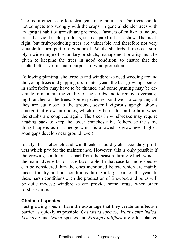The requirements are less stringent for windbreaks. The trees should not compete too strongly with the crops; in general slender trees with an upright habit of growth are preferred. Farmers often like to include trees that yield useful products, such as jackfruit or cashew. That is alright, but fruit-producing trees are vulnerable and therefore not very suitable to form part of a windbreak. Whilst shelterbelt trees can supply a wide range of secondary products, management priority must be given to keeping the trees in good condition, to ensure that the shelterbelt serves its main purpose of wind protection.

Following planting, shelterbelts and windbreaks need weeding around the young trees and gapping up. In later years the fast-growing species in shelterbelts may have to be thinned and some pruning may be desirable to maintain the vitality of the shrubs and to remove overhanging branches of the trees. Some species respond well to coppicing: if they are cut close to the ground, several vigorous upright shoots emerge that grow into poles, which may be useful on the farm when the stubbs are coppiced again. The trees in windbreaks may require heading back to keep the lower branches alive (otherwise the same thing happens as in a hedge which is allowed to grow ever higher; soon gaps develop near ground level).

Ideally the shelterbelt and windbreaks should yield secondary products which pay for the maintenance. However, this is only possible if the growing conditions - apart from the season during which wind is the main adverse factor - are favourable. In that case far more species can be considered than the ones mentioned below, which are mainly meant for dry and hot conditions during a large part of the year. In these harsh conditions even the production of firewood and poles will be quite modest; windbreaks can provide some forage when other food is scarce.

#### **Choice of species**

Fast-growing species have the advantage that they create an effective barrier as quickly as possible. *Casuarina* species, *Azadirachta indica*, *Leucaena* and *Senna* species and *Prosopis juliflora* are often planted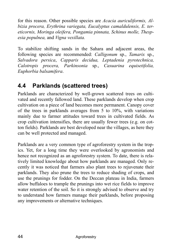for this reason. Other possible species are *Acacia auriculiformis, Albizia procera, Erythrina variegata, Eucalyptus camaldulensis, E. tereticornis, Moringa oleifera, Pongamia pinnata, Schinus molle, Thespesia populnea,* and *Vigna vexillata.* 

To stabilize shifting sands in the Sahara and adjacent areas, the following species are recommended: *Calligonum* sp., *Tamarix* sp., *Salvadora persica*, *Capparis decidua, Leptadenia pyrotechnica, Calotropis procera, Parkinsonia* sp., *Casuarina equisetifolia, Euphorbia balsamifera*.

## **4.4 Parklands (scattered trees)**

Parklands are characterized by well-grown scattered trees on cultivated and recently fallowed land. These parklands develop when crop cultivation on a piece of land becomes more permanent. Canopy cover of the trees in parklands averages from 5 to 10%, with variations mainly due to farmer attitudes toward trees in cultivated fields. As crop cultivation intensifies, there are usually fewer trees (e.g. on cotton fields). Parklands are best developed near the villages, as here they can be well protected and managed.

Parklands are a very common type of agroforestry system in the tropics. Yet, for a long time they were overlooked by agronomists and hence not recognized as an agroforestry system. To date, there is relatively limited knowledge about how parklands are managed. Only recently it was noticed that farmers also plant trees to rejuvenate their parklands. They also prune the trees to reduce shading of crops, and use the prunings for fodder. On the Deccan plateau in India, farmers allow buffaloes to trample the prunings into wet rice fields to improve water retention of the soil. So it is strongly advised to observe and try to understand how farmers manage their parklands, before proposing any improvements or alternative techniques.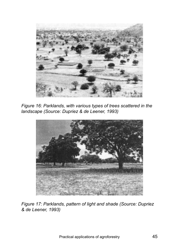

*Figure 16: Parklands, with various types of trees scattered in the landscape (Source: Dupriez & de Leener, 1993)* 



*Figure 17: Parklands, pattern of light and shade (Source: Dupriez & de Leener, 1993)*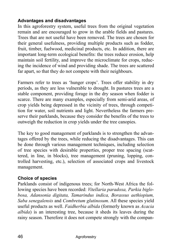#### **Advantages and disadvantages**

In this agroforestry system, useful trees from the original vegetation remain and are encouraged to grow in the arable fields and pastures. Trees that are not useful have been removed. The trees are chosen for their general usefulness, providing multiple products such as fodder, fruit, timber, fuelwood, medicinal products, etc. In addition, there are important long-term ecological benefits: the trees reduce erosion, help maintain soil fertility, and improve the microclimate for crops, reducing the incidence of wind and providing shade. The trees are scattered far apart, so that they do not compete with their neighbours.

Farmers refer to trees as 'hunger crops'. Trees offer stability in dry periods, as they are less vulnerable to drought. In pastures trees are a stable component, providing forage in the dry season when fodder is scarce. There are many examples, especially from semi-arid areas, of crop yields being depressed in the vicinity of trees, through competition for water, soil nutrients and light. Nevertheless the farmers preserve their parklands, because they consider the benefits of the trees to outweigh the reduction in crop yields under the tree canopies.

The key to good management of parklands is to strengthen the advantages offered by the trees, while reducing the disadvantages. This can be done through various management techniques, including selection of tree species with desirable properties, proper tree spacing (scattered, in line, in blocks), tree management (pruning, lopping, controlled harvesting, etc.), selection of associated crops and livestock management.

### **Choice of species**

Parklands consist of indigenous trees; for North-West Africa the following species have been recorded: *Vitellaria paradoxa, Parkia biglobosa, Adansonia digitata, Tamarindus indica, Borassus aethiopium, Saba senegalensis* and *Combretum glutinosum*. All these species yield useful products as well. *Faidherbia albida* (formerly known as *Acacia albida*) is an interesting tree, because it sheds its leaves during the rainy season. Therefore it does not compete strongly with the compan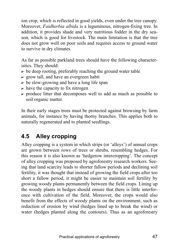ion crop, which is reflected in good yields, even under the tree canopy. Moreover, *Faidherbia albida* is a leguminous, nitrogen-fixing tree. In addition, it provides shade and very nutritious fodder in the dry season, which is good for livestock. The main limitation is that the tree does not grow well on poor soils and requires access to ground water to survive in dry climates.

As far as possible parkland trees should have the following characteristics. They should:

- $\triangleright$  be deep rooting, preferably reaching the ground water table
- $\triangleright$  grow tall, and have an evergreen habit
- $\triangleright$  be slow-growing and have a long life span
- $\triangleright$  have the capacity to fix nitrogen
- $\triangleright$  produce litter that decomposes well to add as much as possible to soil organic matter.

In their early stages trees must be protected against browsing by farm animals, for instance by having thorny branches. This applies both to naturally regenerated and to planted seedlings.

## **4.5 Alley cropping**

Alley cropping is a system in which strips (or 'alleys') of annual crops are grown between rows of trees or shrubs, resembling hedges. For this reason it is also known as 'hedgerow intercropping'. The concept of alley cropping was proposed by agroforestry research workers. Seeing that land scarcity leads to shorter fallow periods and declining soil fertility, it was thought that instead of growing the field crops after too short a fallow period, it might be easier to maintain soil fertility by growing woody plants permanently between the field crops. Lining up the woody plants in hedges should ensure that there is little interference with cultivation of the field. Moreover, the crops would also benefit from the effects of woody plants on the environment, such as reduction of erosion by wind (hedges lined up to break the wind) or water (hedges planted along the contours). Thus as an agroforestry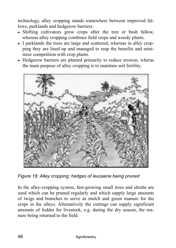technology, alley cropping stands somewhere between improved fallows, parklands and hedgerow barriers:

- $\triangleright$  Shifting cultivators grow crops after the tree or bush fallow, whereas alley cropping combines field crops and woody plants.
- $\triangleright$  I parklands the trees are large and scattered, whereas in alley cropping they are lined up and managed to reap the benefits and minimize competition with crop plants.
- $\triangleright$  Hedgerow barriers are planted primarily to reduce erosion, wheras the main purpose of alley cropping is to maintain soil fertility.



*Figure 18: Alley cropping; hedges of leucaena being pruned* 

In the alley-cropping system, fast-growing small trees and shrubs are used which can be pruned regularly and which supply large amounts of twigs and branches to serve as mulch and green manure for the crops in the alleys. Alternatively the cuttings can supply significant amounts of fodder for livestock, e.g. during the dry season, the manure being returned to the field.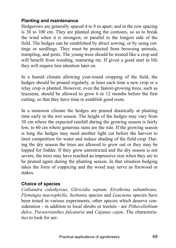#### **Planting and maintenance**

Hedgerows are generally spaced 4 to 8 m apart; and in the row spacing is 30 to 100 cm. They are planted along the contours, so as to break the wind when it is strongest, or parallel to the longest side of the field. The hedges can be established by direct sowing, or by using cuttings or seedlings. They must be protected from browsing animals, trampling, and pests. The young trees should be treated like a crop and will benefit from weeding, manuring etc. If given a good start in life they will require less attention later on.

In a humid climate allowing year-round cropping of the field, the hedges should be pruned regularly, at least each time a new crop or a relay crop is planted. However, even the fastest-growing trees, such as leucaena, should be allowed to grow 6 to 12 months before the first cutting, so that they have time to establish good roots.

In a monsoon climate the hedges are pruned drastically at planting time early in the wet season. The height of the hedges may vary from 30 cm where the expected rainfall during the growing season is fairly low, to 60 cm where generous rains are the rule. If the growing season is long the hedges may need another light cut before the harvest to limit competition for water and reduce shading of the field crop. During the dry season the trees are allowed to grow out or they may be lopped for fodder. If they grow unrestricted and the dry season is not severe, the trees may have reached an impressive size when they are to be pruned again during the planting season. In that situation hedging takes the form of coppicing and the wood may serve as firewood or stakes.

#### **Choice of species**

*Calliandra calothyrsus, Gliricidia sepium, Etrythrina subumbrans, Flemingia macrophylla, Sesbania* species and *Leucaena* species have been tested in various experiments; other species which deserve consideration - in addition to local shrubs or treelets - are *Pithecellobium dulce, Paraserianthes falcataria* and *Cajanus cajan*. The characteristics to look for are: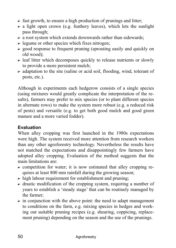- $\triangleright$  fast growth, to ensure a high production of prunings and litter;
- $\triangleright$  a light open crown (e.g. feathery leaves), which lets the sunlight pass through;
- $\triangleright$  a root system which extends downwards rather than sidewards;
- $\triangleright$  legume or other species which fixes nitrogen;
- $\ge$  good response to frequent pruning (sprouting easily and quickly on old wood);
- $\triangleright$  leaf litter which decomposes quickly to release nutrients or slowly to provide a more persistent mulch;
- $\triangleright$  adaptation to the site (saline or acid soil, flooding, wind, tolerant of pests, etc.).

Although in experiments each hedgerow consists of a single species (using mixtures would greatly complicate the interpretation of the results), farmers may prefer to mix species (or to plant different species in alternate rows) to make the system more robust (e.g. a reduced risk of pests) and versatile (e.g. to get both good mulch and good green manure and a more varied fodder).

### **Evaluation**

When alley cropping was first launched in the 1980s expectations were high. The system received more attention from research workers than any other agroforestry technology. Nevertheless the results have not matched the expectations and disappointingly few farmers have adopted alley cropping. Evaluation of the method suggests that the main limitations are:

- $\triangleright$  competition for water; it is now estimated that alley cropping requires at least 800 mm rainfall during the growing season;
- $\triangleright$  high labour requirement for establishment and pruning;
- $\triangleright$  drastic modification of the cropping system, requiring a number of years to establish a 'steady stage' that can be routinely managed by the farmer;
- $\triangleright$  in conjunction with the above point: the need to adapt management to conditions on the farm, e.g. mixing species in hedges and working out suitable pruning recipes (e.g. shearing, coppicing, replacement pruning) depending on the season and the use of the prunings.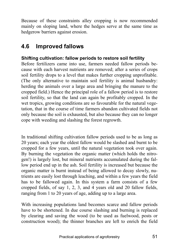Because of these constraints alley cropping is now recommended mainly on sloping land, where the hedges serve at the same time as hedgerow barriers against erosion.

### **4.6 Improved fallows**

#### **Shifting cultivation: fallow periods to restore soil fertility**

Before fertilizers came into use, farmers needed fallow periods because with each harvest nutrients are removed; after a series of crops soil fertility drops to a level that makes further cropping unprofitable. (The only alternative to maintain soil fertility is animal husbandry: herding the animals over a large area and bringing the manure to the cropped field.) Hence the principal role of a fallow period is to restore soil fertility, so that the land can again be profitably cropped. In the wet tropics, growing conditions are so favourable for the natural vegetation, that in the course of time farmers abandon cultivated fields not only because the soil is exhausted, but also because they can no longer cope with weeding and slashing the forest regrowth.

In traditional shifting cultivation fallow periods used to be as long as 20 years; each year the oldest fallow would be slashed and burnt to be cropped for a few years, until the natural vegetation took over again. By burning the vegetation the organic matter (which holds the nitrogen!) is largely lost, but mineral nutrients accumulated during the fallow period end up in the ash. Soil fertility is increased but because the organic matter is burnt instead of being allowed to decay slowly, nutrients are easily lost through leaching, and within a few years the field has to be fallowed again. In this system a farm consists of a few cropped fields, of say 1, 2, 3, and 4 years old and 20 fallow fields, ranging from 1 to 20 years of age, adding up to a large area.

With increasing populations land becomes scarce and fallow periods have to be shortened. In due course slashing and burning is replaced by clearing and saving the wood (to be used as fuelwood, posts or construction wood); the thinner branches are left to enrich the field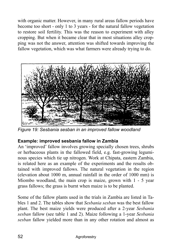with organic matter. However, in many rural areas fallow periods have become too short - only 1 to 3 years - for the natural fallow vegetation to restore soil fertility. This was the reason to experiment with alley cropping. But when it became clear that in most situations alley cropping was not the answer, attention was shifted towards improving the fallow vegetation, which was what farmers were already trying to do.



*Figure 19: Sesbania sesban in an improved fallow woodland* 

### **Example: improved sesbania fallow in Zambia**

An 'improved' fallow involves growing specially chosen trees, shrubs or herbaceous plants in the fallowed field, e.g. fast-growing leguminous species which tie up nitrogen. Work at Chipata, eastern Zambia, is related here as an example of the experiments and the results obtained with improved fallows. The natural vegetation in the region (elevation about 1000 m, annual rainfall in the order of 1000 mm) is Miombo woodland, the main crop is maize, grown with 1 - 5 year grass fallows; the grass is burnt when maize is to be planted.

Some of the fallow plants used in the trials in Zambia are listed in Tables 1 and 2. The tables show that *Sesbania sesban* was the best fallow plant. The best maize yields were produced after a 2-year *Sesbania sesban* fallow (see table 1 and 2). Maize following a 1-year *Sesbania sesban* fallow yielded more than in any other rotation and almost as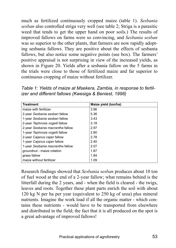much as fertilized continuously cropped maize (table 1). *Sesbania sesban* also controlled striga very well (see table 2; Striga is a parasitic weed that tends to get the upper hand on poor soils.) The results of improved fallows on farms were so convincing, and *Sesbania sesban* was so superior to the other plants, that farmers are now rapidly adopting sesbania fallows. They are positive about the effects of sesbania fallows, but also notice some negative points (see box). The farmers' positive appraisal is not surprising in view of the increased yields, as shown in Figure 20. Yields after a sesbania fallow on the 5 farms in the trials were close to those of fertilized maize and far superior to continuous cropping of maize without fertilizer.

*Table 1: Yields of maize at Msekera, Zambia, in response to fertilizer and different fallows (Kwesiga & Beniest, 1998)* 

| <b>Treatment</b>                 | Maize yield (ton/ha) |
|----------------------------------|----------------------|
| maize with fertilizer            | 3.96                 |
| 2-year Sesbania sesban fallow    | 5.36                 |
| 1-year Sesbania sesban fallow    | 3.43                 |
| 2-year Tephrosia vogelii fallow  | 3.18                 |
| 2-year Sesbania macrantha fallow | 2.97                 |
| 1-year Tephrosia vogelii fallow  | 2.80                 |
| 2-year Cajanus cajan fallow      | 2.78                 |
| 1-year Cajanus cajan fallow      | 2.40                 |
| 1-year Sesbania macrantha fallow | 2.07                 |
| groundnut - maize rotation       | 187                  |
| grass fallow                     | 1.84                 |
| maize without fertilizer         | 1.09                 |

Research findings showed that *Sesbania sesban* produces about 10 ton of fuel wood at the end of a 2-year fallow; what remains behind is the litterfall during the 2 years, and - when the field is cleared - the twigs, leaves and roots. Together these plant parts enrich the soil with about 120 kg N per ha per year (equivalent to 250 kg of urea) plus mineral nutrients. Imagine the work load if all the organic matter - which contains these nutrients - would have to be transported from elsewhere and distributed in the field; the fact that it is all produced on the spot is a great advantage of improved fallows!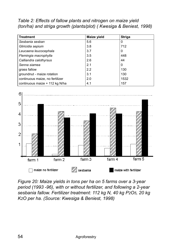*Table 2: Effects of fallow plants and nitrogen on maize yield (ton/ha) and striga growth (plants/plot) ( Kwesiga & Beniest, 1998)* 

| <b>Treatment</b>                | Maize yield | <b>Striga</b> |
|---------------------------------|-------------|---------------|
| Sesbania sesban                 | 5.6         | 0             |
| Gliricidia sepium               | 3.8         | 712           |
| Leucaena leucocephala           | 3.7         | 0             |
| Flemingia macrophylla           | 3.5         | 448           |
| Calliandra calothyrsus          | 2.6         | 44            |
| Senna siamea                    | 2.1         | 0             |
| grass fallow                    | 2.2         | 130           |
| groundnut - maize rotation      | 3.1         | 130           |
| continuous maize, no fertilizer | 2.0         | 1532          |
| continuous maize + 112 kg N/ha  | 4.1         | 157           |



*Figure 20: Maize yields in tons per ha on 5 farms over a 3-year period (1993 -96), with or without fertilizer, and following a 2-year sesbania fallow. Fertilizer treatment: 112 kg N, 40 kg P2O5, 20 kg K2O per ha. (Source: Kwesiga & Beniest, 1998)*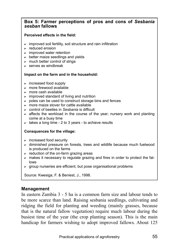#### **Box 5: Farmer perceptions of pros and cons of** *Sesbania sesban* **fallows**

#### **Perceived effects in the field:**

- $\triangleright$  improved soil fertility, soil structure and rain infiltration
- $\blacktriangleright$  reduced erosion
- $\triangleright$  improved water retention
- $\triangleright$  better maize seedlings and vields
- $\triangleright$  much better control of striga
- $\triangleright$  serves as windbreak

#### **Impact on the farm and in the household:**

- $\triangleright$  increased food supply
- $\blacktriangleright$  more firewood available
- $\triangleright$  more cash available
- $\triangleright$  improved standard of living and nutrition
- $\triangleright$  poles can be used to construct storage bins and fences
- $\triangleright$  more maize stover for cattle available
- ? control of beetles in *Sesbania* is difficult
- $\triangleright$  affects the workload in the course of the year; nursery work and planting come at a busy time
- $\triangleright$  takes a long time 2 to 3 years to achieve results

#### **Consquences for the village:**

- $\triangleright$  increased food security
- $\triangleright$  diminished pressure on forests, trees and wildlife because much fuelwood is produced on the farms
- $\triangleright$  reduction of the on-farm grazing areas
- $\triangleright$  makes it necessary to regulate grazing and fires in order to protect the fallows
- $\triangleright$  group nurseries are efficient, but pose organisational problems

Source: Kwesiga, F. & Beniest, J., 1998.

#### **Management**

In eastern Zambia 3 - 5 ha is a common farm size and labour tends to be more scarce than land. Raising sesbania seedlings, cultivating and ridging the field for planting and weeding (mainly grasses, because that is the natural fallow vegetation) require much labour during the busiest time of the year (the crop planting season). This is the main handicap for farmers wishing to adopt improved fallows. About 125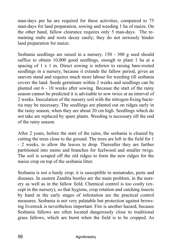man-days per ha are required for these activities, compaired to 75 man-days for land preparation, sowing and weeding 1 ha of maize. On the other hand, fallow clearance requires only 5 man-days. The remaining stubs and roots decay easily; they do not seriously hinder land preparation for maize.

Sesbania seedlings are raised in a nursery. 150 - 300 g seed should suffice to obtain 10,000 good seedlings, enough to plant 1 ha at a spacing of 1 x 1 m. Direct sowing is inferior to raising bare-rooted seedlings in a nursery, because it extends the fallow period, gives an uneven stand and requires much more labour for weeding till sesbania covers the land. Seeds germinate within 2 weeks and seedlings can be planted out 6 - 10 weeks after sowing. Because the start of the rainy season cannot be predicted it is advisable to sow twice at an interval of 2 weeks. Inoculation of the nursery soil with the nitrogen-fixing bacteria may be necessary. The seedlings are planted out on ridges early in the rainy season, when they are about 20 cm high. Seedlings which do not take are replaced by spare plants. Weeding is necessary till the end of the rainy season.

After 2 years, before the start of the rains, the sesbania is cleared by cutting the trees close to the ground. The trees are left in the field for 1 - 2 weeks, to allow the leaves to drop. Thereafter they are further partitioned into stems and branches for fuelwood and smaller twigs. The soil is scraped off the old ridges to form the new ridges for the maize crop on top of the sesbania litter.

Sesbania is not a hardy crop; it is susceptible to nematodes, pests and diseases. In eastern Zambia beetles are the main problem, in the nursery as well as in the fallow field. Chemical control is too costly (except in the nursery), so that hygiene, crop rotation and catching insects by hand in the early stages of infestation are the practical control measures. Sesbania is not very palatable but protection against browsing livestock is nevertheless important. Fire is another hazard, because Sesbania fallows are often located dangerously close to traditional grass fallows, which are burnt when the field is to be cropped. As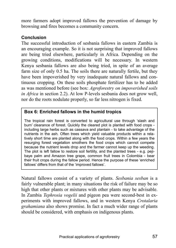more farmers adopt improved fallows the prevention of damage by browsing and fires becomes a community concern.

#### **Conclusion**

The successful introduction of sesbania fallows in eastern Zambia is an encouraging example. So it is not surprising that improved fallows are being tried elsewhere, particularly in Africa. Depending on the growing conditions, modifications will be necessary. In western Kenya sesbania fallows are also being tried, in spite of an average farm size of only 0.5 ha. The soils there are naturally fertile, but they have been impoverished by very inadequate natural fallows and continuous cropping. On these soils phosphate fertilizer has to be added as was mentioned before (see box: *Agroforestry on impoverished soils in Africa* in section 2.2). At low P-levels sesbania does not grow well, nor do the roots nodulate properly, so far less nitrogen is fixed.

#### **Box 6: Enriched fallows in the humid tropics**

The tropical rain forest is converted to agricultural use through 'slash and burn' clearance of forest. Quickly the cleared plot is planted with food crops including large herbs such as cassava and plantain - to take advantage of the nutrients in the ash. Often trees which yield valuable products within a relatively short time are planted along with the food crops. Within a few years the resurging forest vegetation smothers the food crops which cannot compete because the nutrient levels drop and the farmer cannot keep up the weeding. The plot is left fallow to restore soil fertility, and the planted trees - e.g. pejibaye palm and Amazon tree grape, common fruit trees in Colombia - bear their fruit crops during the fallow period. Hence the purpose of these 'enriched fallows' differs from that of the 'improved fallows'.

Natural fallows consist of a variety of plants. *Sesbania sesban* is a fairly vulnerable plant; in many situations the risk of failure may be so high that other plants or mixtures with other plants may be advisable. In Zambia *Tephrosia vogelii* and pigeon pea were second-best in experiments with improved fallows, and in western Kenya *Crotalaria grahamiana* also shows promise. In fact a much wider range of plants should be considered, with emphasis on indigenous plants.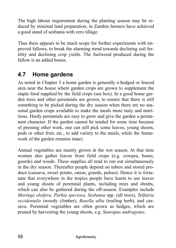The high labour requirement during the planting season may be reduced by minimal land preparation; in Zambia farmers have achieved a good stand of sesbania with zero tillage.

Thus there appears to be much scope for further experiments with improved fallows, to break the alarming trend towards declining soil fertility and declining crop yields. The fuelwood produced during the fallow is an added bonus.

## **4.7 Home gardens**

As noted in Chapter 3 a home garden is generally a hedged or fenced area near the house where garden crops are grown to supplement the staple food supplied by the field crops (see box). In a good home garden trees and other perennials are grown, to ensure that there is still something to be picked during the dry season when there are no seasonal garden crops available to make the meals more tasty and nutritious. Hardy perennials are easy to grow and give the garden a permanent character. If the garden cannot be tended for some time because of pressing other work, one can still pick some leaves, young shoots, pods or other fruit, etc., to add variety to the meals, while the framework of the garden remains intact.

Annual vegetables are mainly grown in the wet season. At that time women also gather leaves from field crops (e.g. cowpea, beans, gourds) and weeds. These supplies all tend to run out simultaneously in the dry season. Thereafter people depend on tubers and stored produce (cassava, sweet potato, onion, gourds, pulses). Hence it is fortunate that everywhere in the tropics people have learnt to use leaves and young shoots of perennial plants, including trees and shrubs, which can also be gathered during the off-season. Examples include *Moringa oleifera, Parkia speciosa, Sesbania* spp. (all trees), *Telfairia occidentalis* (woody climber), *Basella alba* (trailing herb), and cassava. Perennial vegetables are often grown as hedges, which are pruned by harvesting the young shoots, e.g. *Sauropus androgynus.*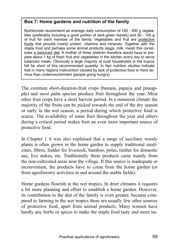### **Box 7: Home gardens and nutrition of the family**

Nutritionists recommend an average daily consumption of 150 - 200 g vegetables (preferably including a good portion of dark-green leaves) and 50 - 100 g of fruit for each member of the family. Vegetables and fruit are protective foods that provide mainly protein, vitamins and minerals. Together with the staple food and perhaps some animal products (eggs, milk, meat) this constitutes a balanced diet. A mother of three children therefore would have to prepare about 1 kg of fresh fruit and vegetables in the kitchen every day to serve balanced meals. Obviously a large majority of rural households in the tropics fall far short of this recommended quantity. In fact nutrition studies indicate that in many regions malnutrition caused by lack of protective food is more serious than undernourishment (people going hungry).

The common short-duration-fruit crops (banana, papaya and pineapple) and most palm species produce fruit throughout the year. Most other fruit crops have a short harvest period. In a monsoon climate the majority of the fruits can be picked towards the end of the dry season or early in the wet season, a period during which protective food is scarce. The availability of some fruit throughout the year and others during a critical period makes fruit an even more important source of protective food.

In Chapter 1 it was also explained that a range of auxiliary woody plants is often grown in the home garden to supply traditional medicines, fibres, fodder for livestock, bamboo, poles, timber for domestic use, live stakes, etc. Traditionally these products came mainly from the non-cultivated areas near the village. If this source is inadequate or inconvenient, the products have to come from the home garden (or from agroforestry activities in and around the arable fields).

Home gardens flourish in the wet tropics. In drier climates it requires a bit more planning and effort to establish a home garden. However, its contribution to the diet of the family is even greater, because compared to farming in the wet tropics there are usually few other sources of protective food, apart from animal products. Many women have hardly any herbs or spices to make the staple food tasty and more nu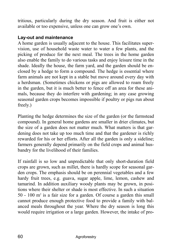tritious, particularly during the dry season. And fruit is either not available or too expensive, unless one can grow one's own.

#### **Lay-out and maintenance**

A home garden is usually adjacent to the house. This facilitates supervision, use of household waste water to water a few plants, and the picking of produce for the next meal. The trees in the home garden also enable the family to do various tasks and enjoy leisure time in the shade. Ideally the house, the farm yard, and the garden should be enclosed by a hedge to form a compound. The hedge is essential where farm animals are not kept in a stable but move around every day with a herdsman. (Sometimes chickens or pigs are allowed to roam freely in the garden, but it is much better to fence off an area for these animals, because they do interfere with gardening; in any case growing seasonal garden crops becomes impossible if poultry or pigs run about freely.)

Planting the hedge determines the size of the garden (or the farmstead compound). In general home gardens are smaller in drier climates, but the size of a garden does not matter much. What matters is that gardening does not take up too much time and that the gardener is richly rewarded for his or her efforts. After all the garden is only a sideline; farmers generally depend primarily on the field crops and animal husbandry for the livelihood of their families.

If rainfall is so low and unpredictable that only short-duration field crops are grown, such as millet, there is hardly scope for seasonal garden crops. The emphasis should be on perennial vegetables and a few hardy fruit trees, e.g. guava, sugar apple, lime, lemon, cashew and tamarind. In addition auxiliary woody plants may be grown, in positions where their shelter or shade is most effective. In such a situation 50 - 100 m2 is a fair size for a garden. Of course a garden this small cannot produce enough protective food to provide a family with balanced meals throughout the year. Where the dry season is long this would require irrigation or a large garden. However, the intake of pro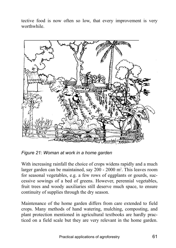tective food is now often so low, that every improvement is very worthwhile.



*Figure 21: Woman at work in a home garden* 

With increasing rainfall the choice of crops widens rapidly and a much larger garden can be maintained, say 200 - 2000 m<sup>2</sup>. This leaves room for seasonal vegetables, e.g. a few rows of eggplants or gourds, successive sowings of a bed of greens. However, perennial vegetables, fruit trees and woody auxiliaries still deserve much space, to ensure continuity of supplies through the dry season.

Maintenance of the home garden differs from care extended to field crops. Many methods of hand watering, mulching, composting, and plant protection mentioned in agricultural textbooks are hardly practiced on a field scale but they are very relevant in the home garden.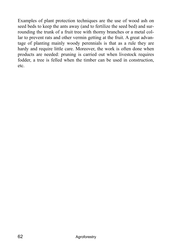Examples of plant protection techniques are the use of wood ash on seed beds to keep the ants away (and to fertilize the seed bed) and surrounding the trunk of a fruit tree with thorny branches or a metal collar to prevent rats and other vermin getting at the fruit. A great advantage of planting mainly woody perennials is that as a rule they are hardy and require little care. Moreover, the work is often done when products are needed: pruning is carried out when livestock requires fodder, a tree is felled when the timber can be used in construction, etc.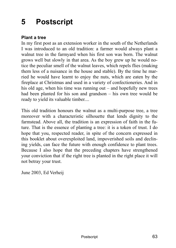# **5 Postscript**

#### **Plant a tree**

In my first post as an extension worker in the south of the Netherlands I was introduced to an old tradition: a farmer would always plant a walnut tree in the farmyard when his first son was born. The walnut grows well but slowly in that area. As the boy grew up he would notice the peculiar smell of the walnut leaves, which repels flies (making them less of a nuisance in the house and stable). By the time he married he would have learnt to enjoy the nuts, which are eaten by the fireplace at Christmas and used in a variety of confectioneries. And in his old age, when his time was running out  $-$  and hopefully new trees had been planted for his son and grandson  $-$  his own tree would be ready to yield its valuable timber....

This old tradition honours the walnut as a multi-purpose tree, a tree moreover with a characteristic silhouette that lends dignity to the farmstead. Above all, the tradition is an expression of faith in the future. That is the essence of planting a tree: it is a token of trust. I do hope that you, respected reader, in spite of the concern expressed in this booklet about overexploited land, impoverished soils and declining yields, can face the future with enough confidence to plant trees. Because I also hope that the preceding chapters have strengthened your conviction that if the right tree is planted in the right place it will not betray your trust.

June 2003, Ed Verheij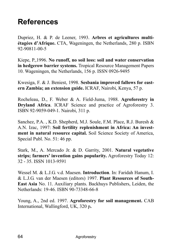# **References**

Dupriez, H. & P. de Leener, 1993. **Arbres et agricultures multi-Étagées d'Afrique.** CTA, Wageningen, the Netherlands, 280 p. ISBN 92-90811-00-5

Kiepe, P.,1996. **No runoff, no soil loss: soil and water conservation in hedgerow barrier systems.** Tropical Resource Management Papers 10. Wageningen, the Netherlands, 156 p. ISSN 0926-9495

Kwesiga, F. & J. Beniest, 1998. **Sesbania improved fallows for eastern Zambia; an extension guide.** ICRAF, Nairobi, Kenya, 57 p.

Rocheleau, D., F. Weber & A. Field-Juma, 1988. **Agroforestry in Dryland Africa**. ICRAF Science and practice of Agroforestry 3. ISBN 92-9059-049-1. Nairobi, 311 p.

Sanchez, P.A. , K.D. Shepherd, M.J. Soule, F.M. Place, R.J. Buresh & A.N. Izac, 1997: **Soil fertility replenishment in Africa: An investment in natural resource capital.** Soil Science Society of America, Special Publ. No. 51: 46 pp.

Stark, M., A. Mercado Jr. & D. Garrity, 2001. **Natural vegetative strips; farmers' invention gains popularity.** Agroforestry Today 12: 32 - 35. ISSN 1013-9591

Wessel M. & L.J.G. v.d. Maesen. **Introduction**. In: Faridah Hanum, I. & L.J.G. van der Maesen (editors) 1997. **Plant Resources of South-East Asia** No. 11. Auxiliary plants. Backhuys Publishers, Leiden, the Netherlands: 19-46. ISBN 90-73348-66-8

Young, A., 2nd ed. 1997. **Agroforestry for soil management.** CAB International, Wallingford, UK, 320 p**.**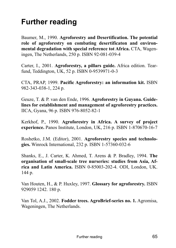# **Further reading**

Baumer, M., 1990. **Agroforestry and Desertification. The potential role of agroforestry on combating desertificaton and environmental degradation with special reference tot Africa.** CTA, Wageningen, The Netherlands, 250 p. ISBN 92-081-039-4

Carter, I., 2001. **Agroforestry, a pillars guide.** Africa edition. Tearfund, Teddington, UK, 52 p. ISBN 0-9539971-0-3

CTA, PRAP, 1999. **Pacific Agroforestry: an information kit.** ISBN 982-343-038-1, 224 p.

Geuze, T. & P. van den Ende, 1996. **Agroforestry in Guyana. Guidelines for establishment and management of agroforestry practices.**  IICA, Gyana, 96 p. ISBN 976-8052-82-1

Kerkhof, P., 1990. **Agroforestry in Africa. A survey of project experience.** Panos Institute, London, UK, 216 p. ISBN 1-870670-16-7

Roshetko, J.M. (Editor), 2001. **Agroforestry species and technologies.** Winrock International, 232 p. ISBN 1-57360-032-6

Shanks, E., J. Carter, K. Ahmed, T. Arens & P. Bradley, 1994. **The organisation of small-scale tree nurseries: studies from Asia, Africa and Latin America.** ISBN 0-85003-202-4. ODI, London, UK. 144 p.

Van Houten, H., & P. Huxley, 1997. **Glossary for agroforestry.** ISBN 929059 1242. 180 p.

Van Tol, A.J., 2002. **Fodder trees. AgroBrief-series no. 1.** Agromisa, Wageningen, The Netherlands.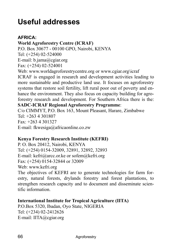# **Useful addresses**

#### **AFRICA:**

#### **World Agroforestry Centre (ICRAF)**

P.O. Box 30677 - 00100 GPO, Nairobi, KENYA

Tel: (+254) 02-524000

E-mail: b.jama@cgiar.org

Fax: (+254) 02-524001

Web: www.worldagroforestrycentre.org or www.cgiar.org\icraf ICRAF is engaged in research and development activities leading to more sustainable and productive land use. It focuses on agroforestry systems that restore soil fertility, lift rural poor out of poverty and enhance the environment. They also focus on capacity building for agroforestry research and development. For Southern Africa there is the:

#### **SADC-ICRAF Regional Agroforestry Programme**:

C/o CIMMYT, P.O. Box 163, Mount Pleasant, Harare, Zimbabwe Tel: +263 4 301807 Fax: +263 4 301327 E-mail: fkwesiga@africaonline.co.zw

#### **Kenya Forestry Research Institute (KEFRI)**

P. O. Box 20412, Nairobi, KENYA Tel: (+254) 0154-32009, 32891, 32892, 32893 E-mail: kefri@arcc.or.ke or sofem@kefri.org Fax: (+254) 0154-32844 or 32009 Web: www.kefri.org

The objectives of KEFRI are to generate technologies for farm forestry, natural forests, drylands forestry and forest plantations, to strengthen research capacity and to document and disseminate scientific information.

#### **International Institute for Tropical Agriculture (IITA)**

P.O.Box 5320, Ibadan, Oyo State, NIGERIA Tel: (+234) 02-2412626 E-mail: IITA@cgiar.org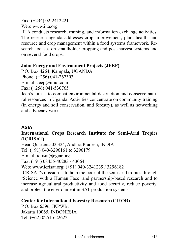#### Fax: (+234) 02-2412221

Web: www.iita.org

IITA conducts research, training, and information exchange activities. The research agenda addresses crop improvement, plant health, and resource and crop management within a food systems framework. Research focuses on smallholder cropping and post-harvest systems and on several food crops.

#### **Joint Energy and Environment Projects (JEEP)**

P.O. Box 4264, Kampala, UGANDA Phone: (+256) 041-267303 E-mail: Jeep@imul.com Fax: (+256) 041-530765

Jeep's aim is to combat environmental destruction and conserve natural resources in Uganda. Activities concentrate on community training (in energy and soil conservation, and forestry), as well as networking and advocacy work.

### **ASIA:**

#### **International Crops Research Institute for Semi-Arid Tropics (ICRISAT)**

Head Quarters502 324, Andhra Pradesh, INDIA

Tel: (+91) 040-3296161 to 3296179

E-mail: icrisat@cgiar.org

Fax: (+91) 08455-40283 / 43064

Web: www.icrisat.org: (+91) 040-3241239 / 3296182

ICRISAT's mission is to help the poor of the semi-arid tropics through Science with a Human Face' and partnership-based research and to increase agricultural productivity and food security, reduce poverty, and protect the environment in SAT production systems.

#### **Center for International Forestry Research (CIFOR)**

P.O. Box 6596, JKPWB, Jakarta 10065, INDONESIA Tel: (+62) 0251-622622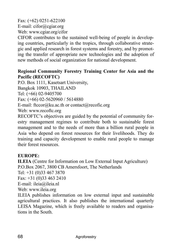Fax: (+62) 0251-622100 E-mail: cifor@cgiar.org Web: www.cgiar.org/cifor

CIFOR contributes to the sustained well-being of people in developing countries, particularly in the tropics, through collaborative strategic and applied research in forest systems and forestry, and by promoting the transfer of appropriate new technologies and the adoption of new methods of social organization for national development.

#### **Regional Community Forestry Training Center for Asia and the Pacific (RECOFTC)**

P.O. Box 1111, Kasetsart University,

Bangkok 10903, THAILAND

Tel: (+66) 02-9405700

Fax: (+66) 02-5620960 / 5614880

E-mail: ftccor@ku.ac.th or contact@recofic.org

Web: www.recoftc.org

RECOFTC's objectives are guided by the potential of community forestry management regimes to contribute both to sustainable forest management and to the needs of more than a billion rural people in Asia who depend on forest resources for their livelihoods. They do training and capacity development to enable rural people to manage their forest resources.

### **EUROPE:**

**ILEIA** (Centre for Information on Low External Input Agriculture) P.O.Box 2067, 3800 CB Amersfoort, The Netherlands Tel: +31 (0)33 467 3870 Fax: +31 (0)33 463 2410 E-mail: ileia@ileia.nl Web: www.ileia.org ILEIA publishes information on low external input and sustainable

agricultural practices. It also publishes the international quarterly LEISA Magazine, which is freely available to readers and organisations in the South.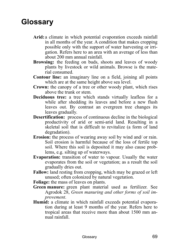## **Glossary**

- **Arid:** a climate in which potential evaporation exceeds rainfall in all months of the year. A condition that makes cropping possible only with the support of water harvesting or irrigation. Refers here to an area with an average of less than about 200 mm annual rainfall.
- **Browsing:** the feeding on buds, shoots and leaves of woody plants by livestock or wild animals. Browse is the material consumed.
- **Contour line:** an imaginary line on a field, joining all points which are at the same height above sea level.
- **Crown:** the canopy of a tree or other woody plant, which rises above the trunk or stem.
- **Deciduous tree:** a tree which stands virtually leafless for a while after shedding its leaves and before a new flush leaves out. By contrast an evergreen tree changes its leaves gradually.
- **Desertification:** process of continuous decline in the biological productivity of arid or semi-arid land. Resulting in a skeletal soil that is difficult to revitalize (a form of land degradation).
- **Erosion:** the process of wearing away soil by wind and/ or rain. Soil erosion is harmful because of the loss of fertile top soil. Where this soil is deposited it may also cause problems, e.g. silting up of waterways.
- **Evaporation:** transition of water to vapour. Usually the water evaporates from the soil or vegetation; as a result the soil gradually dries out.
- **Fallow:** land resting from cropping, which may be grazed or left unused; often colonized by natural vegetation.
- **Foliage:** the mass of leaves on plants.
- **Green manure:** green plant material used as fertilizer. See Agrodok 28, *Green manuring and other forms of soil improvement*.
- **Humid:** a climate in which rainfall exceeds potential evaporation during at least 9 months of the year. Refers here to tropical areas that receive more than about 1500 mm annual rainfall.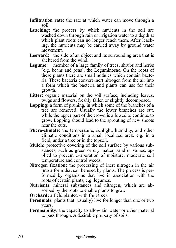**Infiltration rate:** the rate at which water can move through a soil.

- Leaching: the process by which nutrients in the soil are washed down through rain or irrigation water to a depth at which plant roots can no longer reach them. After leaching, the nutrients may be carried away by ground water movement.
- Leeward: the side of an object and its surrounding area that is sheltered from the wind.
- **Legume:** member of a large family of trees, shrubs and herbs (e.g. beans and peas), the Leguminosae. On the roots of these plants there are small nodules which contain bacteria. These bacteria convert inert nitrogen from the air into a form which the bacteria and plants can use for their growth.
- Litter: organic material on the soil surface, including leaves, twigs and flowers, freshly fallen or slightly decomposed.
- **Lopping:** a form of pruning, in which some of the branches of a tree are removed. Usually the lower branches are cut, while the upper part of the crown is allowed to continue to grow. Lopping should lead to the sprouting of new shoots near the cuts.
- **Micro-climate:** the temperature, sunlight, humidity, and other climatic conditions in a small localized area, e.g. in a field, under a tree or in the topsoil.
- **Mulch:** protective covering of the soil surface by various substances, such as green or dry matter, sand or stones, applied to prevent evaporation of moisture, moderate soil temperature and control weeds.
- **Nitrogen fixation:** the processing of inert nitrogen in the air into a form that can be used by plants. The process is performed by organisms that live in association with the roots of certain plants, e.g. legumes.
- **Nutrients:** mineral substances and nitrogen, which are absorbed by the roots to enable plants to grow.

**Orchard:** a field planted with fruit trees.

- **Perennials:** plants that (usually) live for longer than one or two years.
- **Permeability:** the capacity to allow air, water or other material to pass through. A desirable property of soils.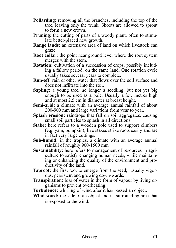- **Pollarding:** removing all the branches, including the top of the tree, leaving only the trunk. Shoots are allowed to sprout to form a new crown.
- **Pruning**: the cutting of parts of a woody plant, often to stimulate better-placed new growth.
- **Range lands:** an extensive area of land on which livestock can graze.
- **Root collar:** the point near ground level where the root system merges with the stem.
- **Rotation:** cultivation of a succession of crops, possibly including a fallow period, on the same land. One rotation cycle usually takes several years to complete.
- **Run-off:** rain or other water that flows over the soil surface and does not infiltrate into the soil.
- **Sapling:** a young tree, no longer a seedling, but not yet big enough to be used as a pole. Usually a few metres high and at most 2.5 cm in diameter at breast height.
- **Semi-arid:** a climate with an average annual rainfall of about 200-900 mm and large variations from year to year.
- **Splash erosion:** raindrops that fall on soil aggregates, causing small soil particles to splash in all directions.
- **Stake:** here refers to a wooden pole used to support climbers (e.g. yam, pumpkin); live stakes strike roots easily and are in fact very large cuttings.
- **Sub-humid:** in the tropics, a climate with an average annual rainfall of roughly 900-1500 mm
- **Sustainability:** here refers to management of resources in agriculture to satisfy changing human needs, while maintaining or enhancing the quality of the environment and productivity of the land.
- **Taproot:** the first root to emerge from the seed; usually vigorous, persistent and growing down-wards.
- **Transpiration:** loss of water in the form of vapour by living organisms to prevent overheating.
- **Turbulence:** whirling of wind after it has passed an object.
- **Wind-ward:** the side of an object and its surrounding area that is exposed to the wind.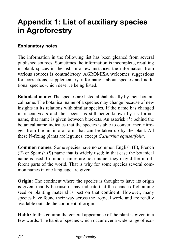# **Appendix 1: List of auxiliary species in Agroforestry**

#### **Explanatory notes**

The information in the following list has been gleaned from several published sources. Sometimes the information is incomplete, resulting in blank spaces in the list; in a few instances the information from various sources is contradictory. AGROMISA welcomes suggestions for corrections, supplementary information about species and additional species which deserve being listed.

**Botanical name: T**he species are listed alphabetically by their botanical name. The botanical name of a species may change because of new insights in its relations with similar species. If the name has changed in recent years and the species is still better known by its former name, that name is given between brackets. An asterisk (\*) behind the botanical name indicates that the species is able to convert inert nitrogen from the air into a form that can be taken up by the plant. All these N-fixing plants are legumes, except *Casuarina equisetifolia*.

**Common names:** Some species have no common English (E), French (F) or Spanish (S) name that is widely used; in that case the botanical name is used. Common names are not unique; they may differ in different parts of the world. That is why for some species several common names in one language are given.

**Origin:** The continent where the species is thought to have its origin is given, mainly because it may indicate that the chance of obtaining seed or planting material is best on that continent. However, many species have found their way across the tropical world and are readily available outside the continent of origin.

**Habit:** In this column the general appearance of the plant is given in a few words. The habit of species which occur over a wide range of eco-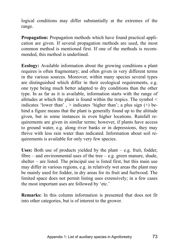logical conditions may differ substantially at the extremes of the range.

**Propagation:** Propagation methods which have found practical application are given. If several propagation methods are used, the most common method is mentioned first. If one of the methods is recommended, this method is underlined.

**Ecology:** Available information about the growing conditions a plant requires is often fragmentary; and often given in very different terms in the various sources. Moreover, within many species several types are distinguished which differ in their ecological requirements, e.g. one type being much better adapted to dry conditions than the other type. In as far as it is available, information starts with the range of altitudes at which the plant is found within the tropics. The symbol < indicates 'lower than',  $>$  indicates 'higher than'; a plus sign  $(+)$  behind a figure means that the plant is generally found up to the altitude given, but in some instances in even higher locations. Rainfall requirements are given in similar terms; however, if plants have access to ground water, e.g. along river banks or in depressions, they may thrive with less rain water than indicated. Information about soil requirements is available for only very few species.

**Uses:** Both use of products yielded by the plant  $-e.g.$  fruit, fodder, fibre  $-$  and environmental uses of the tree  $-$  e.g. green manure, shade, shelter  $-$  are listed. The principal use is listed first, but this main use may differ in various regions, e.g. in relatively wet areas the plant may be mainly used for fodder, in dry areas for its fruit and fuelwood. The limited space does not permit listing uses extensively; in a few cases the most important uses are followed by 'etc.'

**Remarks:** In this column information is presented that does not fit into other categories, but is of interest to the grower.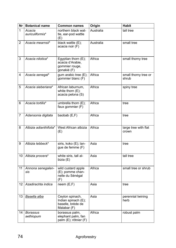| Nr | <b>Botanical name</b>        | <b>Common names</b>                                                        | Origin    | <b>Habit</b>                  |
|----|------------------------------|----------------------------------------------------------------------------|-----------|-------------------------------|
| 1  | Acacia<br>auriculiformis*    | northern black wat-<br>tle, ear-pod wattle<br>(E)                          | Australia | tall tree                     |
| 2  | Acacia mearnsii*             | black wattle (E);<br>acacia noir (F)                                       | Australia | small tree                    |
| 3  | Acacia nilotica*             | Egyptian thorn (E);<br>acacia d'Arabie,<br>gommier rouge,<br>gonakié (F)   | Africa    | small thorny tree             |
| 4  | Acacia senegal*              | gum arabic tree (E);<br>gommier blanc (F)                                  | Africa    | small thorny tree or<br>shrub |
| 5  | Acacia sieberiana*           | African laburnum,<br>white thorn (E);<br>acacia pelona (S)                 | Africa    | spiny tree                    |
| 6  | Acacia tortilis*             | umbrella thorn (E);<br>faux gommier (F)                                    | Africa    | tree                          |
| 7  | Adansonia digitata           | baobab (E,F)                                                               | Africa    | tree                          |
| 8  | Albizia adianthifolia*       | West African albizia<br>(E)                                                | Africa    | large tree with flat<br>crown |
| 9  | Albizia lebbeck*             | siris, koko (E); lan-<br>gue de femme (F)                                  | Asia      | tree                          |
| 10 | Albizia procera*             | white siris, tall al-<br>bizia (E)                                         | Asia      | tall tree                     |
| 11 | Annona senegalen-<br>sis     | wild custard apple<br>(E); pomme chan-<br>nelle du Sénégal<br>(F)          | Africa    | small tree or shrub           |
| 12 | Azadirachta indica           | neem(E,F)                                                                  | Asia      | tree                          |
| 13 | Basella alba                 | Ceylon spinach,<br>Indian spinach (E);<br>baselle, brède de<br>Malabar (F) | Asia      | perennial twining<br>herb     |
| 14 | <b>Borassus</b><br>aethiopum | borassus palm,<br>elephant palm, fan<br>palm (E); rôtnier (F)              | Africa    | robust palm                   |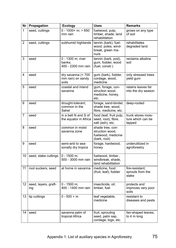| Nr             | Propagation                 | <b>Ecology</b>                                    | <b>Uses</b>                                                               | <b>Remarks</b>                                    |
|----------------|-----------------------------|---------------------------------------------------|---------------------------------------------------------------------------|---------------------------------------------------|
| 1              | seed, cuttings              | $0 - 1000 + m$ ; > 650<br>mm rain                 | fuelwood, pulp,<br>timber, shade, land<br>rehabilitation                  | grows on any type<br>of soil                      |
| $\overline{c}$ | seed, cuttings              | subhumid highlands                                | tannin (bark), fuel-<br>wood, poles, wind-<br>break, green ma-<br>nure    | rehabilitates<br>degraded land                    |
| 3              | seed                        | 0 - 1300 m; river<br>banks:<br>400 - 2300 mm rain | tannin (bark, pod),<br>gum, fodder, wood<br>(fuel, constr.)               | reclaims alkaline<br>soil                         |
| 4              | seed                        | dry savanna (< 700<br>mm rain) on sandy<br>soils  | gum (bark), fodder,<br>cordage, wood,<br>medicine                         | only stressed trees<br>yield gum                  |
| 5              | seed                        | coastal and inland<br>savanna                     | gum, forage, con-<br>struction wood,<br>medicine, honey,<br>etc.          | retains leaves far<br>into the dry season         |
| 6              | seed                        | drought-tolerant;<br>common in the<br>Sahel       | forage, sand-binder,<br>shade tree, wood,<br>fibre, medicine, etc.        | deep-rooted                                       |
| 7              | seed                        | in a belt N and S of<br>the equator in Africa     | food (leaf, fruit pulp,<br>seed, root), fibre,<br>salt (ash), etc.        | trunk stores mois-<br>ture which can be<br>tapped |
| 8              | seed                        | common in moist<br>savanna zone                   | shade tree, con-<br>struction wood,<br>fuelwood, medicine<br>(bark, root) |                                                   |
| 9              | seed                        | semi-arid to sea-<br>sonally dry tropics          | forage, hardwood,<br>honey                                                | underutilized in<br>agroforestry                  |
| 10             | seed, stake cuttings        | $0 - 1500$ m;<br>500 - 3000 mm rain               | fuelwood, timber,<br>windbreak, shade,<br>land rehabilitation             |                                                   |
| 11             | root suckers, seed          | at home in savanna                                | medicine, food<br>(fruit, leaf), fodder                                   | fire-resistant;<br>sprouts from the<br>stake      |
| 12             | seed, layers, graft-<br>ing | $0 - 1500$ m:<br>400 - 1400 mm rain               | insecticide, oil,<br>timber, fuel                                         | protects and<br>improves very poor<br>soils       |
| 13             | tip cuttings                | $0 - 500 + m$                                     | leaf vegetable,<br>medicine                                               | resistant to<br>diseases and pests                |
| 14             | seed                        | savanna palm of<br>tropical Africa                | fruit, sprouting<br>seed, palm sap,<br>cordage, logs, etc.                | fan-shaped leaves,<br>to 4 m long                 |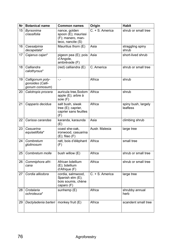| Nr | <b>Botanical name</b>                                  | <b>Common names</b>                                                            | Origin          | <b>Habit</b>                    |
|----|--------------------------------------------------------|--------------------------------------------------------------------------------|-----------------|---------------------------------|
| 15 | Byrsonima<br>crassifolia                               | nance, golden<br>spoon (E); maurissi<br>(F); manero, man-<br>teco, nancite (S) | C. + S. America | shrub or small tree             |
| 16 | Caesalpinia<br>decapetala*                             | Mauritius thorn (E)                                                            | Asia            | straggling spiny<br>shrub       |
| 17 | Cajanus cajan*                                         | pigeon pea (E); pois<br>d'Angole,<br>ambrévade (F)                             | Asia            | short-lived shrub               |
| 18 | Calliandra<br>calothyrsus*                             | $(\text{red})$ calliandra $(E)$                                                | C. America      | shrub or small tree             |
| 19 | Calligonum poly-<br>gonoides (Calli-<br>gonum comosum) | $-1$                                                                           | Africa          | shrub                           |
| 20 | Calotropis procera                                     | auricula tree, Sodom<br>apple (E); arbre à<br>soie (F)                         | Africa          | shrub                           |
| 21 | Capparis decidua                                       | salt bush, siwak<br>tree (E); caprier,<br>caprier sans feuilles<br>(F)         | Africa          | spiny bush, largely<br>leafless |
| 22 | Carissa carandas                                       | karanda, karaunda<br>(E)                                                       | Asia            | climbing shrub                  |
| 23 | Casuarina<br>equisetifolia*                            | coast she-oak.<br>ironwood, casuarina<br>$(E)$ ; filao $(F)$                   | Austr. Malesia  | large tree                      |
| 24 | Combretum<br>glutinosum                                | ratt, bois d'élèphant<br>(F)                                                   | Africa          | small tree                      |
| 25 | Combretum molle                                        | bush willow (E)                                                                | Africa          | shrub or small tree             |
| 26 | Commiphora afri-<br>cana                               | African bdellium<br>(E); bdellium<br>d'Afrique (F)                             | Africa          | shrub or small tree             |
| 27 | Cordia alliodora                                       | cordia, salmwood,<br>Spanish elm (E);<br>bois soumis, chène<br>caparo (F)      | C. + S. America | large tree                      |
| 28 | Crotalaria<br>ochroleuca*                              | sunhemp (E)                                                                    | Africa          | shrubby annual<br>herb          |
| 29 | Dactyladenia barteri                                   | monkey fruit (E)                                                               | Africa          | scandent small tree             |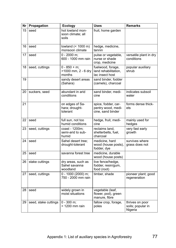| Nr | Propagation          | <b>Ecology</b>                                   | <b>Uses</b>                                                    | <b>Remarks</b>                                  |
|----|----------------------|--------------------------------------------------|----------------------------------------------------------------|-------------------------------------------------|
| 15 | seed                 | hot lowland mon-<br>soon climate; all<br>soils   | fruit, home garden                                             |                                                 |
| 16 | seed                 | lowland (< 1000 m)<br>monsoon climate            | hedge, medicine,<br>tannin                                     |                                                 |
| 17 | seed                 | $0 - 2000$ m;<br>600 - 1000 mm rain              | pulse or vegetable,<br>nurse or shade<br>crop, medicine        | versatile plant in dry<br>conditions            |
| 18 | seed, cuttings       | $0 - 850 + m$ ;<br>>1000 mm, 2 - 6 dry<br>months | fuelwood, forage,<br>land rehabilitation,<br>lac insect host   | popular auxiliary<br>shrub                      |
| 19 |                      | sandy desert areas<br>(Sahara)                   | sand binder, fodder<br>(camels), charcoal                      |                                                 |
| 20 | suckers, seed        | abundant in arid<br>conditions                   | sand binder, medi-<br>cine                                     | indicates subsoil<br>water                      |
| 21 |                      | on edges of Sa-<br>hara; drought-<br>tolerant    | spice, fodder, car-<br>pentry wood, medi-<br>cine, sand binder | forms dense thick-<br>ets                       |
| 22 | seed                 | full sun, not too<br>humid conditions            | hedge, fruit, medi-<br>cine                                    | mainly used for<br>hedges                       |
| 23 | seed, cuttings       | coast - 1200m;<br>semi-arid to sub-<br>humid     | reclaims land,<br>shelterbelts, fuel,<br>charcoal              | very fast early<br>growth                       |
| 24 | seed                 | Sahel desert tree:<br>drought-tolerant           | medicine, hard<br>wood (house posts),<br>fodder, dye           | survives where<br>grass does not                |
| 25 | seed                 | savanna forest tree                              | medicine, durable<br>wood (house posts)                        |                                                 |
| 26 | stake cuttings       | dry areas, such as<br>Sahel savanna<br>woodland  | live fence/hedge,<br>fodder, resin/qum,<br>food (root)         |                                                 |
| 27 | seed, cuttings       | 0 - 1000 (2000) m;<br>750 - 2000 mm rain         | timber, shade                                                  | pioneer plant; good<br>regeneration             |
| 28 | seed                 | widely grown in<br>moist situations              | vegetable (leaf,<br>flower, pod), green<br>manure, fibre       |                                                 |
| 29 | seed, stake cuttings | $0 - 300$ m;<br>> 1200 mm rain                   | fallow crop, forage,<br>poles                                  | thrives on poor<br>soils; popular in<br>Nigeria |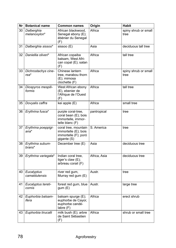| Nr | <b>Botanical name</b>        | <b>Common names</b>                                                                 | Origin       | <b>Habit</b>                 |
|----|------------------------------|-------------------------------------------------------------------------------------|--------------|------------------------------|
| 30 | Dalberghia<br>melanoxylon*   | African blackwood,<br>Senegal ebony (E);<br>ébènier du Senegal<br>(F)               | Africa       | spiny shrub or small<br>tree |
| 31 | Dalberghia sissoo*           | sissoo (E)                                                                          | Asia         | deciduous tall tree          |
| 32 | Daniellia oliveri*           | African copaiba<br>balsam, West Afri-<br>can copal (E); satan<br>(F)                | Africa       | tall tree                    |
| 33 | Dichrostachys cine-<br>rea*  | Chinese lantern<br>tree, marabou thorn<br>(E); mimosa<br>clochette (F)              | Africa       | spiny shrub or small<br>tree |
| 34 | Diospyros mespili-<br>formis | West African ebony<br>(E), ebenier de<br>l'Afrique de l'Ouest<br>(F)                | Africa       | tall tree                    |
| 35 | Dovyalis caffra              | kei apple (E)                                                                       | Africa       | small tree                   |
| 36 | Erythrina fusca*             | purple coral-tree,<br>coral bean (E); bois<br>immortelle, immor-<br>telle blanc (F) | pantropical  | tree                         |
| 37 | Erythrina poeppigi-<br>ana*  | coral tree, mountain<br>immortelle (E); bois<br>immortelle (F); poró<br>gigante (S) | S. America   | tree                         |
| 38 | Erythrina subum-<br>brans*   | December tree (E)                                                                   | Asia         | deciduous tree               |
| 39 | Erythrina variegata*         | Indian coral tree,<br>tiger's claw $(E)$ ;<br>arbreau corail (F)                    | Africa, Asia | deciduous tree               |
| 40 | Eucalyptus<br>camaldulensis  | river red gum,<br>Murray red gum (E)                                                | Austr.       | tree                         |
| 41 | Eucalyptus tereti-<br>cornis | forest red gum, blue<br>gum(E)                                                      | Austr.       | large tree                   |
| 42 | Euphorbia balsam-<br>ifera   | balsam spurge (E);<br>euphorbe de Cayor,<br>euphorbe candé-<br>labre (F)            | Africa       | erect shrub                  |
| 43 | Euphorbia tirucalli          | milk bush $(E)$ ; arbre<br>de Saint Sébastien<br>(F)                                | Africa       | shrub or small tree          |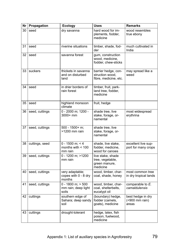| Nr | Propagation    | <b>Ecology</b>                                        | <b>Uses</b>                                                        | <b>Remarks</b>                               |
|----|----------------|-------------------------------------------------------|--------------------------------------------------------------------|----------------------------------------------|
| 30 | seed           | dry savanna                                           | hard wood for im-<br>plements, fodder,<br>medicine                 | wood resembles<br>true ebony                 |
| 31 | seed           | riverine situations                                   | timber, shade, fod-<br>der                                         | much cultivated in<br>India                  |
| 32 | seed           | savanna forest                                        | gum, construction<br>wood, medicine,<br>fodder, chew-sticks        |                                              |
| 33 | suckers        | thickets in savanna<br>and on disturbed<br>land       | barrier hedge, con-<br>struction wood,<br>fibre, medicine, etc.    | may spread like a<br>weed                    |
| 34 | seed           | in drier borders of<br>rain forest                    | timber, fruit, park-<br>land tree, fodder,<br>medicine             |                                              |
| 35 | seed           | highland monsoon<br>climate                           | fruit, hedge                                                       |                                              |
| 36 | seed, cuttings | 0 - 2000 m; 1200 -<br>3000+ mm                        | shade tree, live<br>stake, forage, or-<br>namental                 | most widespread<br>erythrina                 |
| 37 | seed, cuttings | 500 - 1500+ m;<br>>1200 mm rain                       | shade tree, live<br>stake, forage, or-<br>namental                 |                                              |
| 38 | cuttings, seed | $0 - 1500$ m; < 4<br>months with $<$ 100<br>mm rain   | shade, live stake,<br>fodder, medicine,<br>wood for canoes         | excellent live sup-<br>port for many crops   |
| 39 | seed, cuttings | 0 - 1200 m; > 1200<br>mm rain                         | live stake, shade<br>tree, vegetable,<br>green manure,<br>medicine |                                              |
| 40 | seed, cuttings | very adaptable;<br>copes with 0 - 8 dry<br>months     | wood, timber, char-<br>coal, shade, honey                          | most common tree<br>in dry tropical lands    |
| 41 | seed, cuttings | $0 - 1800$ m; $> 500$<br>mm rain; deep light<br>soils | wood, timber, char-<br>coal, shelterbelts,<br>eucalypt oil         | comparable to E.<br>camaldulensis            |
| 42 | cuttings       | southern edge of<br>Sahara; deep sandy<br>soil        | (boundary) hedge,<br>fodder (camels,<br>goats), medicine           | best hedge in dry<br>(<900 mm rain)<br>areas |
| 43 | cuttings       | drought-tolerant                                      | hedge, latex, fish<br>poison, fuelwood,<br>medicine                |                                              |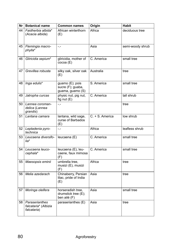| Nr l | <b>Botanical name</b>                                 | <b>Common names</b>                                      | Origin          | <b>Habit</b>     |
|------|-------------------------------------------------------|----------------------------------------------------------|-----------------|------------------|
| 44   | Faidherbia albida*<br>(Acacia albida)                 | African winterthorn<br>(E)                               | Africa          | deciduous tree   |
| 45   | Flemingia macro-<br>phylla*                           | $-1$                                                     | Asia            | semi-woody shrub |
| 46   | Gliricidia sepium*                                    | gliricidia, mother of<br>cocoa (E)                       | C. America      | small tree       |
| 47   | Grevillea robusta                                     | silky oak, silver oak<br>(E)                             | Australia       | tree             |
| 48   | Inga edulis*                                          | guamo (E); pois<br>sucre (F); guaba,<br>guama, guamo (S) | S. America      | small tree       |
| 49   | Jatropha curcas                                       | physic nut, pig nut,<br>fig nut $(E)$                    | C. America      | tall shrub       |
| 50   | Lannea coroman-<br>delica (Lannea<br>grandis)         | $-1$                                                     |                 | tree             |
| 51   | Lantana camara                                        | lantana, wild sage,<br>curse of Barbados<br>(E)          | C. + S. America | low shrub        |
| 52   | Leptadenia pyro-<br>technica                          | $-1$                                                     | Africa          | leafless shrub   |
| 53   | Leucaena diversifo-<br>lia*                           | leucaena (E)                                             | C. America      | small tree       |
| 54   | Leucaena leuco-<br>cephala*                           | leucaena (E), leu-<br>caene, faux mimosa<br>(F)          | C. America      | small tree       |
| 55   | Maesopsis eminii                                      | umbrella tree,<br>musizi (E), musizi<br>(F)              | Africa          | tree             |
| 56   | Melia azedarach                                       | Chinaberry, Persian<br>lilac, pride of India<br>(E)      | Asia            | tree             |
| 57   | Moringa oleifera                                      | horseradish tree,<br>drumstick tree (E);<br>ben ailé (F) | Asia            | small tree       |
| 58   | Paraserianthes<br>falcataria* (Albizia<br>falcataria) | paraserianthes (E)                                       | Asia            | tree             |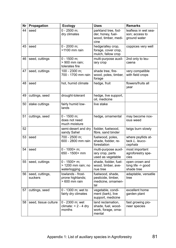| Nr | Propagation                | <b>Ecology</b>                                             | <b>Uses</b>                                                              | <b>Remarks</b>                                         |
|----|----------------------------|------------------------------------------------------------|--------------------------------------------------------------------------|--------------------------------------------------------|
| 44 | seed                       | $0 - 2500$ m;<br>dry climates                              | parkland tree, fod-<br>der, honey, fuel-<br>wood, timber, medi-<br>cine  | leafless in wet sea-<br>son; access to<br>ground water |
| 45 | seed                       | 0 - 2000 m;<br>>1100 mm rain                               | hedge/alley crop,<br>forage, cover crop,<br>mulch, fallow crop           | coppices very well                                     |
| 46 | seed, cuttings             | $0 - 1500$ m:<br>> 900 mm rain;<br>tolerates fire          | multi-purpose auxil-<br>iary crop                                        | 2nd only to leu-<br>caena                              |
| 47 | seed, cuttings             | 100 - 2300 m:<br>700 - 1700 mm rain                        | shade tree, fire-<br>wood, poles, timber,<br>forage                      | very compatible<br>with field crops                    |
| 48 | seed                       | hot, humid climate                                         | hedge, fruit                                                             | flowers/fruits all<br>vear                             |
| 49 | cuttings, seed             | drought-tolerant                                           | hedge, live support,<br>oil, medicine                                    |                                                        |
| 50 | stake cuttings             | fairly humid low-<br>lands                                 | live stake                                                               |                                                        |
| 51 | cuttings, seed             | $\overline{0}$ - 1500 m;<br>does not need<br>much moisture | hedge, ornamental                                                        | may become nox-<br>ious weed                           |
| 52 |                            | semi-desert and dry<br>sandy Sahel                         | fodder, fuelwood,<br>fibre, sand binder                                  | twigs burn slowly                                      |
| 53 | seed                       | 700 - 2500 m;<br>600 - 2800 mm rain                        | fuelwood, poles,<br>shade, fodder, re-<br>forestation                    | where psyllids at-<br>tack L. leuco-<br>cephala        |
| 54 | seed                       | $0 - 1000 + m$<br>650 - 1500+ mm                           | multi-purpose auxil-<br>iary crop, parts<br>used as vegetable            | most important<br>agroforestry spe-<br>cies            |
| 55 | seed, cuttings             | 0 - 1500+ m;<br>> 1200 mm rain; no<br>waterlogging         | shade, fodder, fuel-<br>wood, timber, ave-<br>nue tree                   | open crown and<br>long life -> good<br>shade tree      |
| 56 | seed, cuttings,<br>suckers | lowlands - frost-<br>prone highlands;<br>$>600$ mm rain    | fuelwood, shade,<br>pesticide, timber,<br>medicine, ornamen-<br>tal      | adaptable, versatile<br>tree                           |
| 57 | cuttings, seed             | 0 - 1300 m; wet to<br>fairly dry climates                  | vegetable, condi-<br>ment (bark), live<br>support, medicine              | excellent home<br>garden plant                         |
| 58 | seed, tissue culture       | 0 - 2300 m; wet<br>climate: $< 2 - 4$ dry<br>months        | land reclamation,<br>shade, fuel, wood-<br>work, forage, orna-<br>mental | fast growing pio-<br>neer species                      |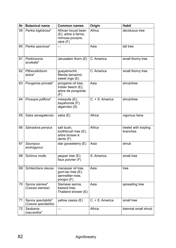| Nr | <b>Botanical name</b>                      | <b>Common names</b>                                                        | Origin          | <b>Habit</b>                      |
|----|--------------------------------------------|----------------------------------------------------------------------------|-----------------|-----------------------------------|
| 59 | Parkia biglobosa*                          | African locust bean<br>(E); arbre à farine,<br>mimosa pourpre,<br>néré (F) | Africa          | deciduous tree                    |
| 60 | Parkia speciosa*                           | $-1$                                                                       | Asia            | tall tree                         |
| 61 | Parkinsonia<br>aculeata*                   | Jerusalem thorn (E)                                                        | C. America      | small thorny tree                 |
| 62 | Pithecellobium<br>$dulce*$                 | guayamochil,<br>Manila tamarind,<br>sweet inga (E)                         | C. America      | small thorny tree                 |
| 63 | Pongamia pinnata*                          | pongame oil tree,<br>Indian beech (E);<br>arbre de pongolote<br>(F)        | Asia            | shrub/tree                        |
| 64 | Prosopis juliflora*                        | mesquite (E);<br>bayahonde (F);<br>algarrobo (S)                           | C. + S. America | shrub/tree                        |
| 65 | Saba senegalensis                          | saba (E)                                                                   | Africa          | vigorous liana                    |
| 66 | Salvadora persica                          | salt bush.<br>toothbrush tree (E);<br>arbre brosse à<br>dents $(F)$        | Africa          | treelet with trayling<br>branches |
| 67 | Sauropus<br>androgynus                     | star gooseberry (E)                                                        | Asia            | shrub                             |
| 68 | Schinus molle                              | pepper tree (E);<br>faux poivrier (F)                                      | S. America      | small tree                        |
| 69 | Schleichera oleosa                         | macassar oil tree,<br>gum-lac tree (E);<br>qennettier-rose,<br>pongro (F)  | Asia            | tree                              |
| 70 | Senna siamea*<br>(Cassia siamea)           | Siamese senna,<br>kassod tree,<br>Thailand shower (E)                      | Asia            | spreading tree                    |
| 71 | Senna spectabilis*<br>(Cassia spectabilis) | yellow cassia (E)                                                          | C. + S. America | small tree                        |
| 72 | Sesbania<br>macrantha*                     | -.-                                                                        | Africa          | biennial small shrub              |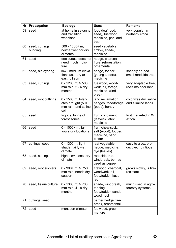| Nr | Propagation                | <b>Ecology</b>                                                         | <b>Uses</b>                                                            | <b>Remarks</b>                              |
|----|----------------------------|------------------------------------------------------------------------|------------------------------------------------------------------------|---------------------------------------------|
| 59 | seed                       | at home in savanna<br>and transition<br>woodland                       | food (leaf, pod,<br>seed), fuelwood,<br>medicine, parkland<br>tree     | very popular in<br>northern Africa          |
| 60 | seed, cuttings,<br>budding | 500 - 1000+ m;<br>neither wet nor dry<br>climates                      | seed vegetable,<br>timber, shade,<br>medicine                          |                                             |
| 61 | seed                       | deciduous, does not<br>need much mois-<br>ture                         | hedge, charcoal,<br>fibre, reforestation,<br>ornamental                |                                             |
| 62 | seed, air layering         | low - medium eleva-<br>tion; wet - dry ar-<br>eas; full sun            | hedge, fodder<br>(young shoots),<br>medicine                           | shapely pruned<br>small roadside tree       |
| 63 | seed, cuttings             | $0 - 1200$ m: $> 500$<br>mm rain, 2 - 6 dry<br>months                  | fuelwood, wood-<br>work, oil, forage,<br>medicine, wind-<br>break      | very adaptable tree,<br>reclaims poor land  |
| 64 | seed, root cuttings        | 0 - 1500 m; toler-<br>ates drought (50+<br>mm rain) and saline<br>soil | land reclamation,<br>hedges, food/forage<br>(pods), honey              | colonizes dry, saline<br>and alkaline lands |
| 65 | seed                       | tropics, fringe of<br>forest zones                                     | fruit, condiment<br>(leaves), latex,<br>medicine                       | fruit marketed in W.<br>Africa              |
| 66 | seed                       | 0 - 1000+ m; fa-<br>vours dry locations                                | fruit, chew-stick,<br>salt (wood), fodder,<br>medicine, sand<br>binder |                                             |
| 67 | cuttings, seed             | 0 - 1300 m; light<br>shade; fairly wet<br>climate                      | leaf vegetable,<br>hedge, medicine,<br>dye (leaves)                    | easy to grow, pro-<br>ductive, nutritious   |
| 68 | seed, cuttings             | high elevations; dry<br>climate                                        | roadside tree.<br>windbreak, berries<br>used as pepper                 |                                             |
| 69 | seed, root suckers         | $0 - 900 + m$ ; > 750<br>mm rain, needs dry<br>season                  | firewood, charcoal,<br>woodwork, oil,<br>food/fodder, kusum<br>lac     | grows slowly, is fire-<br>resistant         |
| 70 | seed, tissue culture       | $0 - 1300$ m; $> 700$<br>mm rain, 4 - 8 dry<br>months                  | shade, windbreak,<br>tanning,<br>food/fodder, sandal<br>wood host      | much used in agro-<br>forestry systems      |
| 71 | cuttings, seed             |                                                                        | barrier hedge, fire-<br>break, ornamental                              |                                             |
| 72 | seed                       | monsoon climate                                                        | fuelwood, green<br>manure                                              |                                             |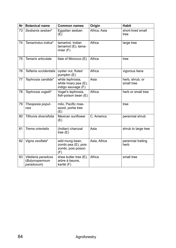| Nr l | <b>Botanical name</b>                               | <b>Common names</b>                                                 | Origin       | <b>Habit</b>                  |
|------|-----------------------------------------------------|---------------------------------------------------------------------|--------------|-------------------------------|
| 73   | Sesbania sesban*                                    | Egyptian sesban<br>(E)                                              | Africa, Asia | short-lived small<br>tree     |
| 74   | Tamarindus indica*                                  | tamarind, Indian<br>tamarind $(E)$ ; tama-<br>rinier $(F)$          | Africa       | large tree                    |
| 75   | Tamarix articulata                                  | tlaie of Morocco (E)                                                | Africa       | tree                          |
| 76   | Telfairia occidentalis                              | oyster nut, fluted<br>pumpkin (E)                                   | Africa       | vigorous liana                |
| 77   | Tephrosia candida*                                  | white tephrosia,<br>white hoary pea $(E)$ ;<br>indigo sauvage (F)   | Asia         | herb, shrub, or<br>small tree |
| 78   | Tephrosia vogelii*                                  | Vogel's tephrosia,<br>fish-poison bean (E)                          | Africa       | herb or small tree            |
| 79   | Thespesia popul-<br>nea                             | milo, Pacific rose-<br>wood, portia tree<br>(E)                     |              | tree                          |
| 80   | Tithonia diversifolia                               | Mexican sunflower<br>(E)                                            | C. America   | perennial shrub               |
| 81   | Trema orientalis                                    | (Indian) charcoal<br>tree $(E)$                                     | Asia         | shrub to large tree           |
| 82   | Vigna vexillata*                                    | wild mung bean,<br>zombi pea (E); pois<br>zombi, pois poison<br>(F) | Asia, Africa | perennial trailing<br>herb    |
| 83   | Vitellaria paradoxa<br>(Butyrospermum<br>paradoxum) | shea butter tree (E);<br>arbre à beurre,<br>karité (F)              | Africa       | small tree                    |